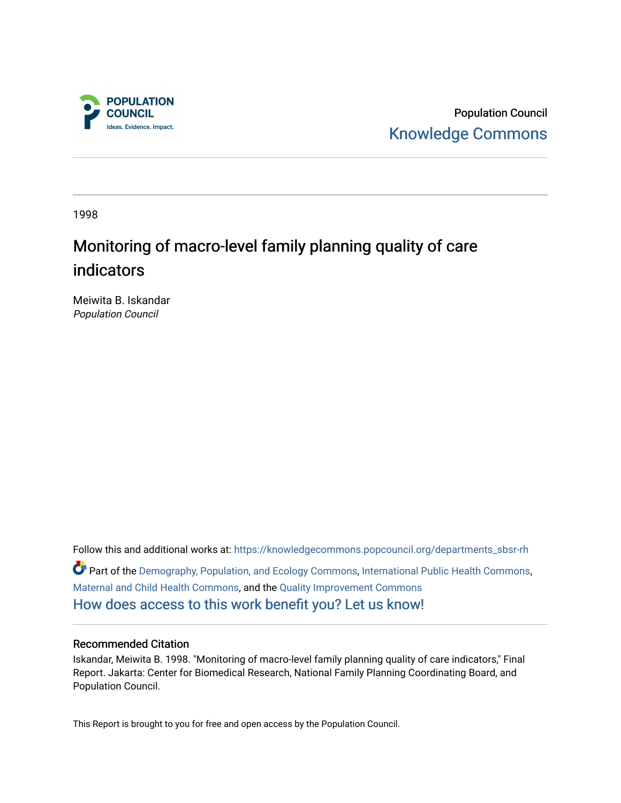

Population Council [Knowledge Commons](https://knowledgecommons.popcouncil.org/) 

1998

# Monitoring of macro-level family planning quality of care indicators

Meiwita B. Iskandar Population Council

Follow this and additional works at: [https://knowledgecommons.popcouncil.org/departments\\_sbsr-rh](https://knowledgecommons.popcouncil.org/departments_sbsr-rh?utm_source=knowledgecommons.popcouncil.org%2Fdepartments_sbsr-rh%2F2051&utm_medium=PDF&utm_campaign=PDFCoverPages)  Part of the [Demography, Population, and Ecology Commons,](https://network.bepress.com/hgg/discipline/418?utm_source=knowledgecommons.popcouncil.org%2Fdepartments_sbsr-rh%2F2051&utm_medium=PDF&utm_campaign=PDFCoverPages) [International Public Health Commons](https://network.bepress.com/hgg/discipline/746?utm_source=knowledgecommons.popcouncil.org%2Fdepartments_sbsr-rh%2F2051&utm_medium=PDF&utm_campaign=PDFCoverPages), [Maternal and Child Health Commons,](https://network.bepress.com/hgg/discipline/745?utm_source=knowledgecommons.popcouncil.org%2Fdepartments_sbsr-rh%2F2051&utm_medium=PDF&utm_campaign=PDFCoverPages) and the [Quality Improvement Commons](https://network.bepress.com/hgg/discipline/1430?utm_source=knowledgecommons.popcouncil.org%2Fdepartments_sbsr-rh%2F2051&utm_medium=PDF&utm_campaign=PDFCoverPages) [How does access to this work benefit you? Let us know!](https://pcouncil.wufoo.com/forms/open-access-to-population-council-research/)

#### Recommended Citation

Iskandar, Meiwita B. 1998. "Monitoring of macro-level family planning quality of care indicators," Final Report. Jakarta: Center for Biomedical Research, National Family Planning Coordinating Board, and Population Council.

This Report is brought to you for free and open access by the Population Council.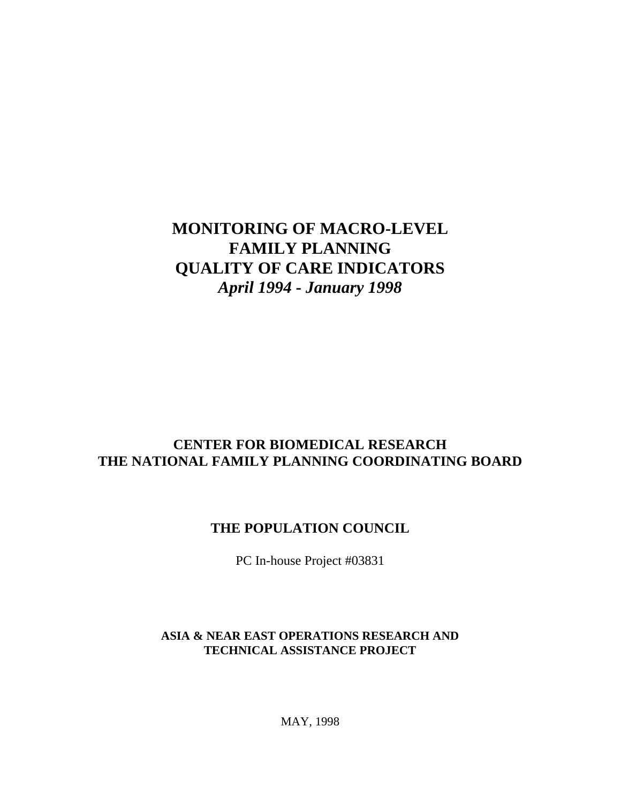## **MONITORING OF MACRO-LEVEL FAMILY PLANNING QUALITY OF CARE INDICATORS** *April 1994 - January 1998*

## **CENTER FOR BIOMEDICAL RESEARCH THE NATIONAL FAMILY PLANNING COORDINATING BOARD**

## **THE POPULATION COUNCIL**

PC In-house Project #03831

## **ASIA & NEAR EAST OPERATIONS RESEARCH AND TECHNICAL ASSISTANCE PROJECT**

MAY, 1998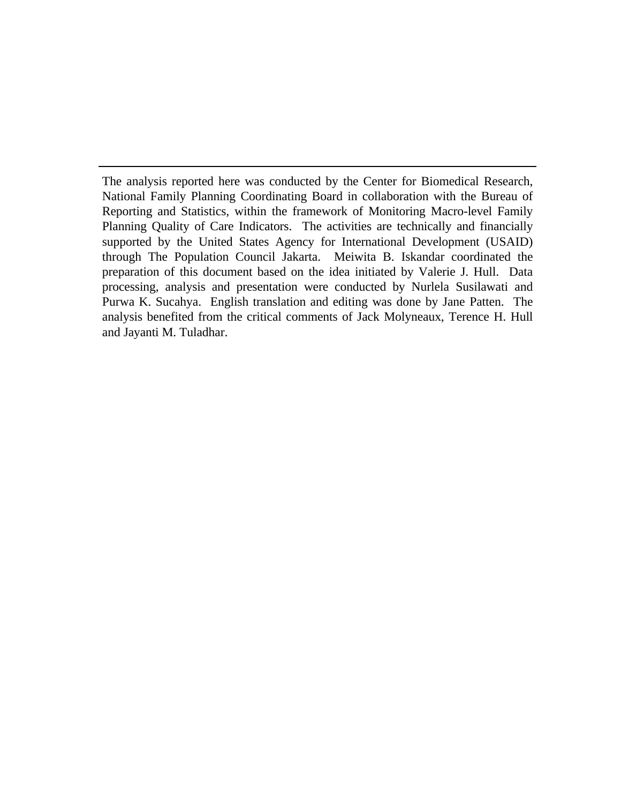The analysis reported here was conducted by the Center for Biomedical Research, National Family Planning Coordinating Board in collaboration with the Bureau of Reporting and Statistics, within the framework of Monitoring Macro-level Family Planning Quality of Care Indicators. The activities are technically and financially supported by the United States Agency for International Development (USAID) through The Population Council Jakarta. Meiwita B. Iskandar coordinated the preparation of this document based on the idea initiated by Valerie J. Hull. Data processing, analysis and presentation were conducted by Nurlela Susilawati and Purwa K. Sucahya. English translation and editing was done by Jane Patten. The analysis benefited from the critical comments of Jack Molyneaux, Terence H. Hull and Jayanti M. Tuladhar.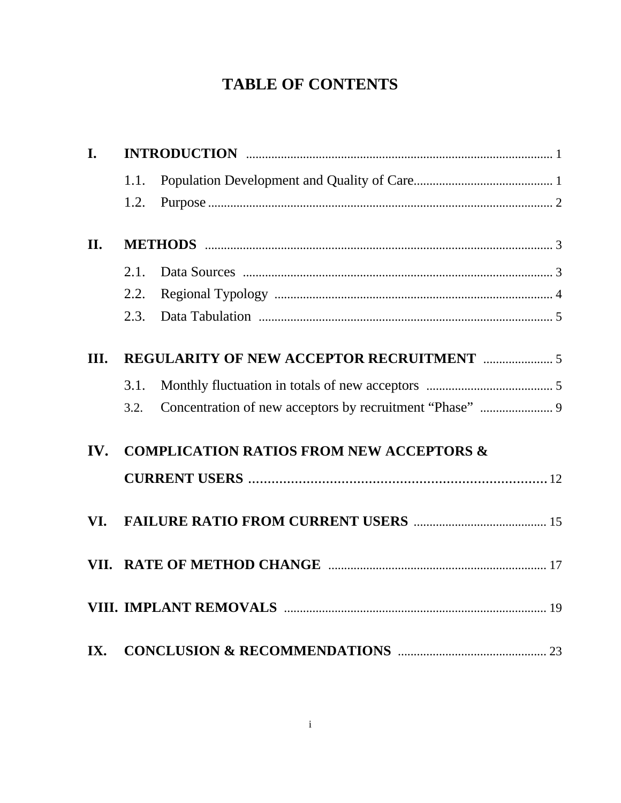# **TABLE OF CONTENTS**

| I.   |      |                                                               |  |
|------|------|---------------------------------------------------------------|--|
|      | 1.1. |                                                               |  |
|      | 1.2. |                                                               |  |
| II.  |      |                                                               |  |
|      | 2.1. |                                                               |  |
|      | 2.2. |                                                               |  |
|      | 2.3. |                                                               |  |
| III. |      | <b>REGULARITY OF NEW ACCEPTOR RECRUITMENT manufacturers</b> 5 |  |
|      | 3.1. |                                                               |  |
|      | 3.2. |                                                               |  |
| IV.  |      | <b>COMPLICATION RATIOS FROM NEW ACCEPTORS &amp;</b>           |  |
|      |      |                                                               |  |
| VI.  |      |                                                               |  |
|      |      |                                                               |  |
|      |      |                                                               |  |
| IX.  |      |                                                               |  |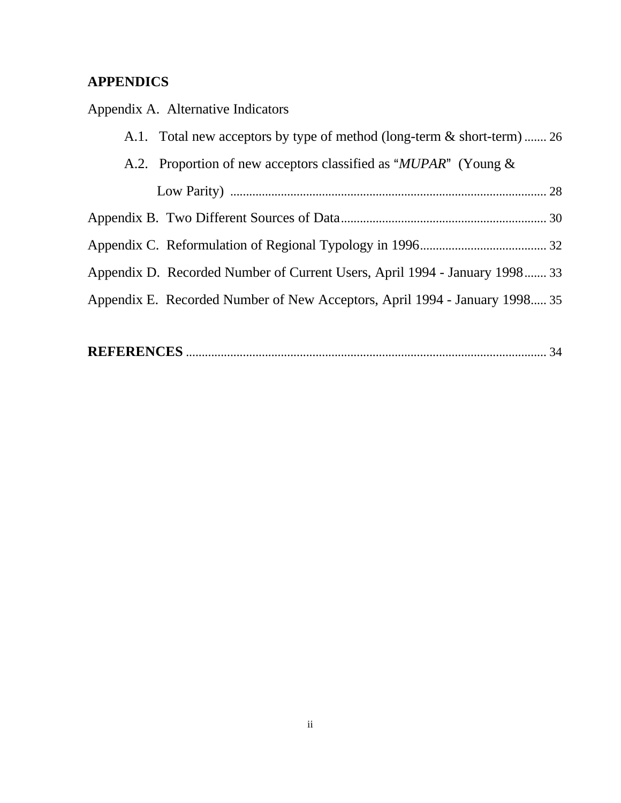## **APPENDICS**

Appendix A.Alternative Indicators

| A.1. Total new acceptors by type of method (long-term & short-term)  26    |
|----------------------------------------------------------------------------|
| A.2. Proportion of new acceptors classified as "MUPAR" (Young &            |
|                                                                            |
|                                                                            |
|                                                                            |
| Appendix D. Recorded Number of Current Users, April 1994 - January 1998 33 |
| Appendix E. Recorded Number of New Acceptors, April 1994 - January 1998 35 |
|                                                                            |

|--|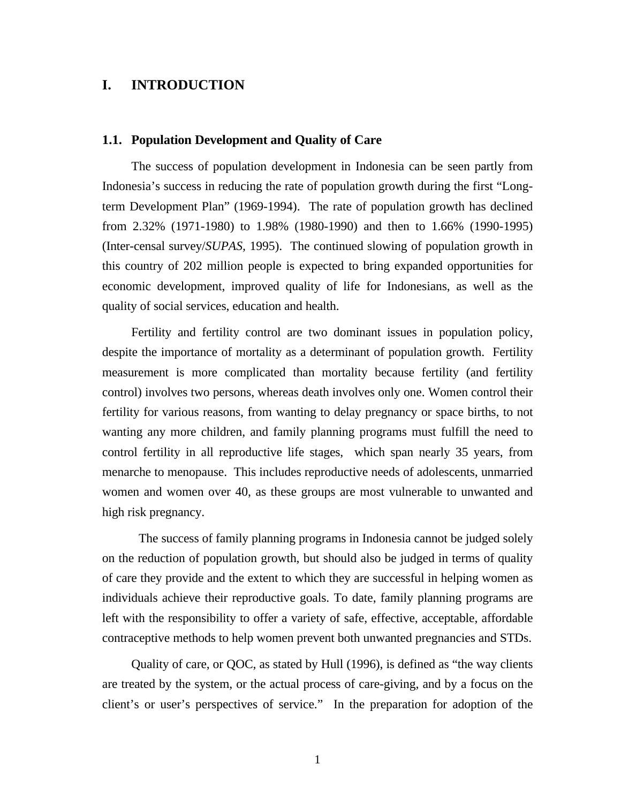## **I. INTRODUCTION**

#### **1.1. Population Development and Quality of Care**

The success of population development in Indonesia can be seen partly from Indonesia's success in reducing the rate of population growth during the first "Longterm Development Plan" (1969-1994). The rate of population growth has declined from 2.32% (1971-1980) to 1.98% (1980-1990) and then to 1.66% (1990-1995) (Inter-censal survey/*SUPAS,* 1995). The continued slowing of population growth in this country of 202 million people is expected to bring expanded opportunities for economic development, improved quality of life for Indonesians, as well as the quality of social services, education and health.

Fertility and fertility control are two dominant issues in population policy, despite the importance of mortality as a determinant of population growth. Fertility measurement is more complicated than mortality because fertility (and fertility control) involves two persons, whereas death involves only one. Women control their fertility for various reasons, from wanting to delay pregnancy or space births, to not wanting any more children, and family planning programs must fulfill the need to control fertility in all reproductive life stages, which span nearly 35 years, from menarche to menopause. This includes reproductive needs of adolescents, unmarried women and women over 40, as these groups are most vulnerable to unwanted and high risk pregnancy.

The success of family planning programs in Indonesia cannot be judged solely on the reduction of population growth, but should also be judged in terms of quality of care they provide and the extent to which they are successful in helping women as individuals achieve their reproductive goals. To date, family planning programs are left with the responsibility to offer a variety of safe, effective, acceptable, affordable contraceptive methods to help women prevent both unwanted pregnancies and STDs.

Quality of care, or QOC, as stated by Hull (1996), is defined as "the way clients are treated by the system, or the actual process of care-giving, and by a focus on the client's or user's perspectives of service." In the preparation for adoption of the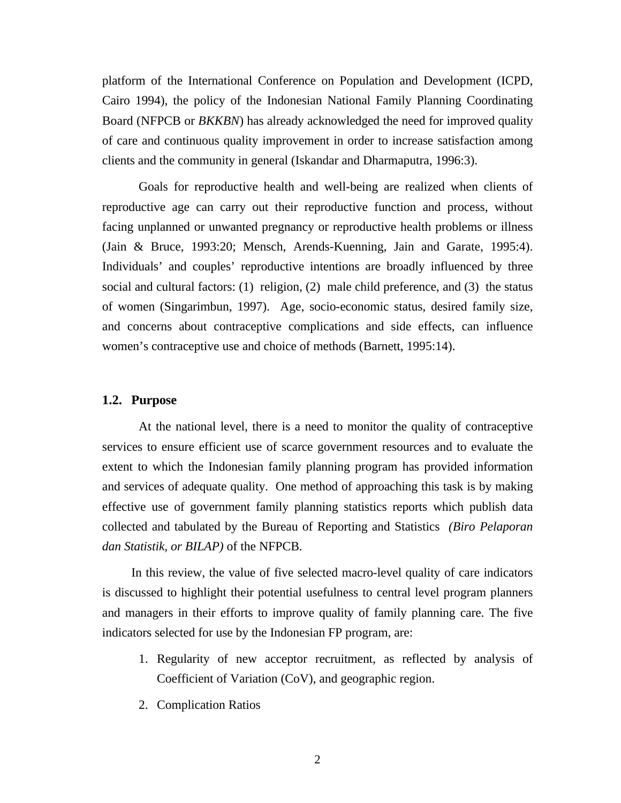platform of the International Conference on Population and Development (ICPD, Cairo 1994), the policy of the Indonesian National Family Planning Coordinating Board (NFPCB or *BKKBN*) has already acknowledged the need for improved quality of care and continuous quality improvement in order to increase satisfaction among clients and the community in general (Iskandar and Dharmaputra, 1996:3).

Goals for reproductive health and well-being are realized when clients of reproductive age can carry out their reproductive function and process, without facing unplanned or unwanted pregnancy or reproductive health problems or illness (Jain & Bruce, 1993:20; Mensch, Arends-Kuenning, Jain and Garate, 1995:4). Individuals' and couples' reproductive intentions are broadly influenced by three social and cultural factors: (1) religion, (2) male child preference, and (3) the status of women (Singarimbun, 1997). Age, socio-economic status, desired family size, and concerns about contraceptive complications and side effects, can influence women's contraceptive use and choice of methods (Barnett, 1995:14).

#### **1.2. Purpose**

At the national level, there is a need to monitor the quality of contraceptive services to ensure efficient use of scarce government resources and to evaluate the extent to which the Indonesian family planning program has provided information and services of adequate quality. One method of approaching this task is by making effective use of government family planning statistics reports which publish data collected and tabulated by the Bureau of Reporting and Statistics *(Biro Pelaporan dan Statistik, or BILAP)* of the NFPCB*.*

In this review, the value of five selected macro-level quality of care indicators is discussed to highlight their potential usefulness to central level program planners and managers in their efforts to improve quality of family planning care. The five indicators selected for use by the Indonesian FP program, are:

- 1. Regularity of new acceptor recruitment, as reflected by analysis of Coefficient of Variation (CoV), and geographic region.
- 2. Complication Ratios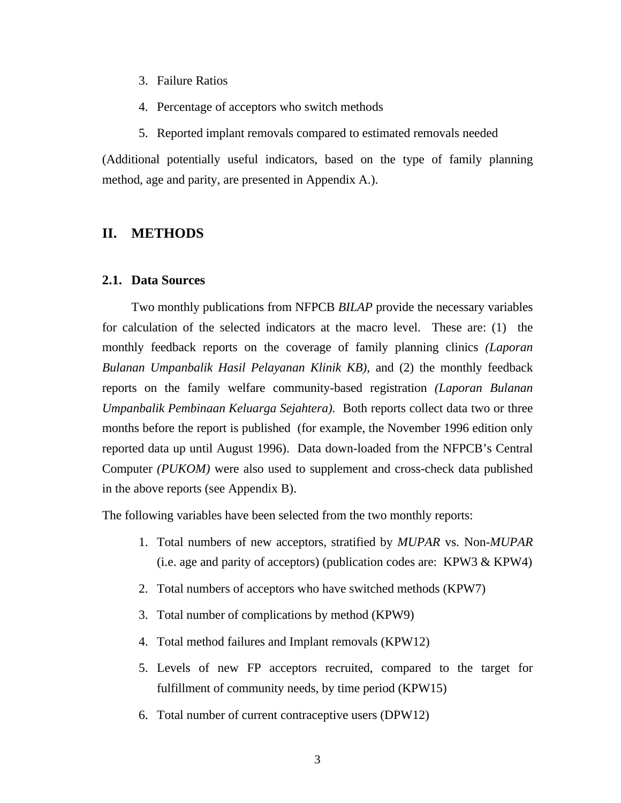- 3. Failure Ratios
- 4. Percentage of acceptors who switch methods
- 5. Reported implant removals compared to estimated removals needed

(Additional potentially useful indicators, based on the type of family planning method, age and parity, are presented in Appendix A.).

### **II. METHODS**

#### **2.1. Data Sources**

Two monthly publications from NFPCB *BILAP* provide the necessary variables for calculation of the selected indicators at the macro level. These are: (1) the monthly feedback reports on the coverage of family planning clinics *(Laporan Bulanan Umpanbalik Hasil Pelayanan Klinik KB),* and (2) the monthly feedback reports on the family welfare community-based registration *(Laporan Bulanan Umpanbalik Pembinaan Keluarga Sejahtera).* Both reports collect data two or three months before the report is published (for example, the November 1996 edition only reported data up until August 1996). Data down-loaded from the NFPCB's Central Computer *(PUKOM)* were also used to supplement and cross-check data published in the above reports (see Appendix B).

The following variables have been selected from the two monthly reports:

- 1. Total numbers of new acceptors, stratified by *MUPAR* vs. Non-*MUPAR* (i.e. age and parity of acceptors) (publication codes are: KPW3 & KPW4)
- 2. Total numbers of acceptors who have switched methods (KPW7)
- 3. Total number of complications by method (KPW9)
- 4. Total method failures and Implant removals (KPW12)
- 5. Levels of new FP acceptors recruited, compared to the target for fulfillment of community needs, by time period (KPW15)
- 6. Total number of current contraceptive users (DPW12)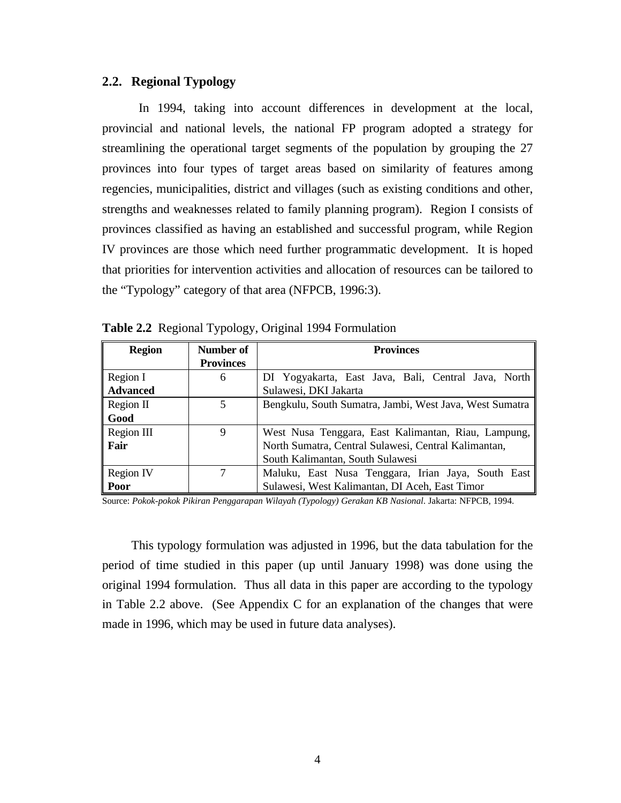#### **2.2. Regional Typology**

In 1994, taking into account differences in development at the local, provincial and national levels, the national FP program adopted a strategy for streamlining the operational target segments of the population by grouping the 27 provinces into four types of target areas based on similarity of features among regencies, municipalities, district and villages (such as existing conditions and other, strengths and weaknesses related to family planning program). Region I consists of provinces classified as having an established and successful program, while Region IV provinces are those which need further programmatic development. It is hoped that priorities for intervention activities and allocation of resources can be tailored to the "Typology" category of that area (NFPCB, 1996:3).

| <b>Region</b>   | Number of<br><b>Provinces</b> | <b>Provinces</b>                                        |  |  |  |  |  |
|-----------------|-------------------------------|---------------------------------------------------------|--|--|--|--|--|
| Region I        | 6                             | DI Yogyakarta, East Java, Bali, Central Java, North     |  |  |  |  |  |
| <b>Advanced</b> |                               | Sulawesi, DKI Jakarta                                   |  |  |  |  |  |
| Region II       | 5                             | Bengkulu, South Sumatra, Jambi, West Java, West Sumatra |  |  |  |  |  |
| Good            |                               |                                                         |  |  |  |  |  |
| Region III      | 9                             | West Nusa Tenggara, East Kalimantan, Riau, Lampung,     |  |  |  |  |  |
| Fair            |                               | North Sumatra, Central Sulawesi, Central Kalimantan,    |  |  |  |  |  |
|                 |                               | South Kalimantan, South Sulawesi                        |  |  |  |  |  |
| Region IV       |                               | Maluku, East Nusa Tenggara, Irian Jaya, South East      |  |  |  |  |  |
| Poor            |                               | Sulawesi, West Kalimantan, DI Aceh, East Timor          |  |  |  |  |  |

**Table 2.2** Regional Typology, Original 1994 Formulation

Source: *Pokok-pokok Pikiran Penggarapan Wilayah (Typology) Gerakan KB Nasional*. Jakarta: NFPCB, 1994.

This typology formulation was adjusted in 1996, but the data tabulation for the period of time studied in this paper (up until January 1998) was done using the original 1994 formulation. Thus all data in this paper are according to the typology in Table 2.2 above. (See Appendix C for an explanation of the changes that were made in 1996, which may be used in future data analyses).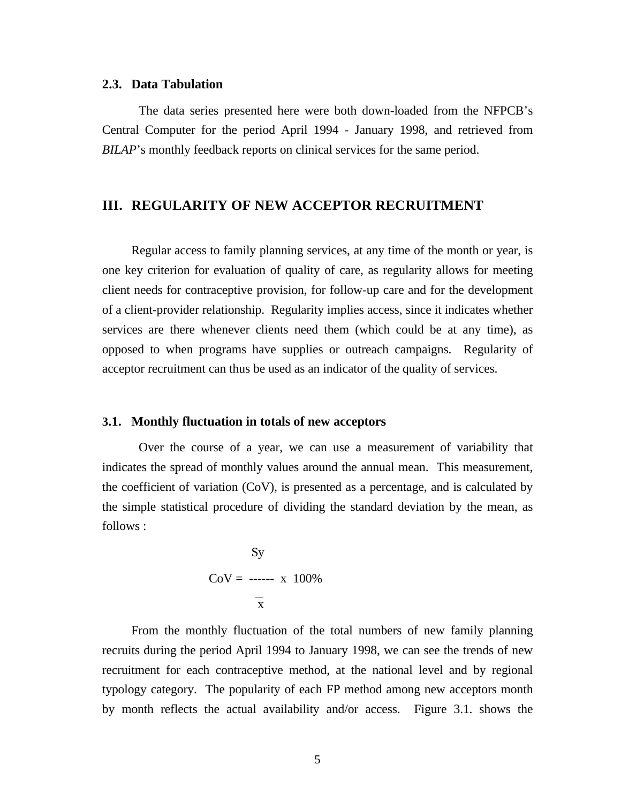#### **2.3. Data Tabulation**

The data series presented here were both down-loaded from the NFPCB's Central Computer for the period April 1994 - January 1998, and retrieved from *BILAP*'s monthly feedback reports on clinical services for the same period.

### **III. REGULARITY OF NEW ACCEPTOR RECRUITMENT**

Regular access to family planning services, at any time of the month or year, is one key criterion for evaluation of quality of care, as regularity allows for meeting client needs for contraceptive provision, for follow-up care and for the development of a client-provider relationship. Regularity implies access, since it indicates whether services are there whenever clients need them (which could be at any time), as opposed to when programs have supplies or outreach campaigns. Regularity of acceptor recruitment can thus be used as an indicator of the quality of services.

#### **3.1. Monthly fluctuation in totals of new acceptors**

Over the course of a year, we can use a measurement of variability that indicates the spread of monthly values around the annual mean. This measurement, the coefficient of variation (CoV), is presented as a percentage, and is calculated by the simple statistical procedure of dividing the standard deviation by the mean, as follows :

$$
Sy
$$
  
CoV = ---- x 100%  

$$
\frac{1}{x}
$$

From the monthly fluctuation of the total numbers of new family planning recruits during the period April 1994 to January 1998, we can see the trends of new recruitment for each contraceptive method, at the national level and by regional typology category. The popularity of each FP method among new acceptors month by month reflects the actual availability and/or access. Figure 3.1. shows the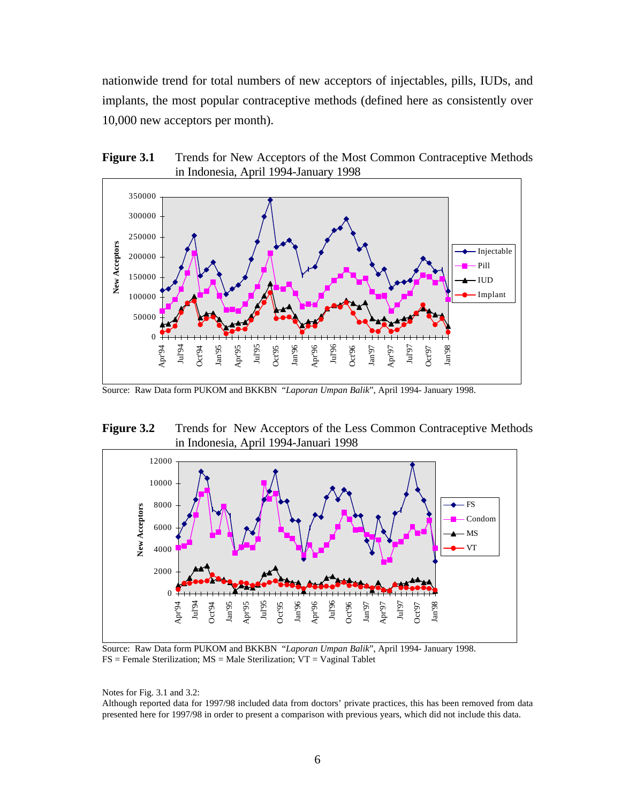nationwide trend for total numbers of new acceptors of injectables, pills, IUDs, and implants, the most popular contraceptive methods (defined here as consistently over 10,000 new acceptors per month).





Source: Raw Data form PUKOM and BKKBN "*Laporan Umpan Balik*", April 1994- January 1998.

Figure 3.2 Trends for New Acceptors of the Less Common Contraceptive Methods in Indonesia, April 1994-Januari 1998



Source: Raw Data form PUKOM and BKKBN "*Laporan Umpan Balik*", April 1994- January 1998.  $FS = Female Sterilization; MS = Male Sterilization; VT = Vaginal Tablet$ 

Notes for Fig. 3.1 and 3.2:

Although reported data for 1997/98 included data from doctors' private practices, this has been removed from data presented here for 1997/98 in order to present a comparison with previous years, which did not include this data.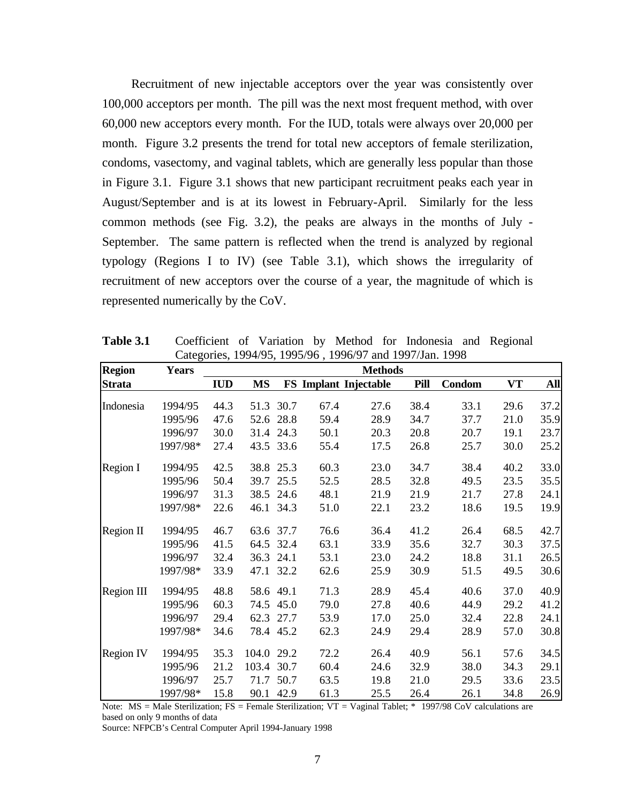Recruitment of new injectable acceptors over the year was consistently over 100,000 acceptors per month. The pill was the next most frequent method, with over 60,000 new acceptors every month. For the IUD, totals were always over 20,000 per month. Figure 3.2 presents the trend for total new acceptors of female sterilization, condoms, vasectomy, and vaginal tablets, which are generally less popular than those in Figure 3.1. Figure 3.1 shows that new participant recruitment peaks each year in August/September and is at its lowest in February-April. Similarly for the less common methods (see Fig. 3.2), the peaks are always in the months of July - September. The same pattern is reflected when the trend is analyzed by regional typology (Regions I to IV) (see Table 3.1), which shows the irregularity of recruitment of new acceptors over the course of a year, the magnitude of which is represented numerically by the CoV.

| <b>Region</b>     | <b>Years</b> |            |           |           |      | <b>Methods</b>        |      |        |      |      |
|-------------------|--------------|------------|-----------|-----------|------|-----------------------|------|--------|------|------|
| <b>Strata</b>     |              | <b>IUD</b> | <b>MS</b> |           |      | FS Implant Injectable | Pill | Condom | VT   | All  |
| Indonesia         | 1994/95      | 44.3       | 51.3      | 30.7      | 67.4 | 27.6                  | 38.4 | 33.1   | 29.6 | 37.2 |
|                   | 1995/96      | 47.6       | 52.6      | 28.8      | 59.4 | 28.9                  | 34.7 | 37.7   | 21.0 | 35.9 |
|                   | 1996/97      | 30.0       | 31.4      | 24.3      | 50.1 | 20.3                  | 20.8 | 20.7   | 19.1 | 23.7 |
|                   | 1997/98*     | 27.4       | 43.5      | 33.6      | 55.4 | 17.5                  | 26.8 | 25.7   | 30.0 | 25.2 |
| <b>Region I</b>   | 1994/95      | 42.5       | 38.8      | 25.3      | 60.3 | 23.0                  | 34.7 | 38.4   | 40.2 | 33.0 |
|                   | 1995/96      | 50.4       | 39.7      | 25.5      | 52.5 | 28.5                  | 32.8 | 49.5   | 23.5 | 35.5 |
|                   | 1996/97      | 31.3       | 38.5      | 24.6      | 48.1 | 21.9                  | 21.9 | 21.7   | 27.8 | 24.1 |
|                   | 1997/98*     | 22.6       | 46.1      | 34.3      | 51.0 | 22.1                  | 23.2 | 18.6   | 19.5 | 19.9 |
| <b>Region II</b>  | 1994/95      | 46.7       |           | 63.6 37.7 | 76.6 | 36.4                  | 41.2 | 26.4   | 68.5 | 42.7 |
|                   | 1995/96      | 41.5       | 64.5      | 32.4      | 63.1 | 33.9                  | 35.6 | 32.7   | 30.3 | 37.5 |
|                   | 1996/97      | 32.4       | 36.3      | 24.1      | 53.1 | 23.0                  | 24.2 | 18.8   | 31.1 | 26.5 |
|                   | 1997/98*     | 33.9       | 47.1      | 32.2      | 62.6 | 25.9                  | 30.9 | 51.5   | 49.5 | 30.6 |
| <b>Region III</b> | 1994/95      | 48.8       | 58.6      | 49.1      | 71.3 | 28.9                  | 45.4 | 40.6   | 37.0 | 40.9 |
|                   | 1995/96      | 60.3       | 74.5      | 45.0      | 79.0 | 27.8                  | 40.6 | 44.9   | 29.2 | 41.2 |
|                   | 1996/97      | 29.4       | 62.3      | 27.7      | 53.9 | 17.0                  | 25.0 | 32.4   | 22.8 | 24.1 |
|                   | 1997/98*     | 34.6       | 78.4      | 45.2      | 62.3 | 24.9                  | 29.4 | 28.9   | 57.0 | 30.8 |
| Region IV         | 1994/95      | 35.3       | 104.0     | 29.2      | 72.2 | 26.4                  | 40.9 | 56.1   | 57.6 | 34.5 |
|                   | 1995/96      | 21.2       | 103.4     | 30.7      | 60.4 | 24.6                  | 32.9 | 38.0   | 34.3 | 29.1 |
|                   | 1996/97      | 25.7       | 71.7      | 50.7      | 63.5 | 19.8                  | 21.0 | 29.5   | 33.6 | 23.5 |
|                   | 1997/98*     | 15.8       | 90.1      | 42.9      | 61.3 | 25.5                  | 26.4 | 26.1   | 34.8 | 26.9 |

**Table 3.1** Coefficient of Variation by Method for Indonesia and Regional Categories, 1994/95, 1995/96 , 1996/97 and 1997/Jan. 1998

Note:  $MS = Male Sterilization$ ;  $FS = Female Sterilization$ ;  $VT = Vaginal Tablet$ ; \* 1997/98 CoV calculations are based on only 9 months of data

Source: NFPCB's Central Computer April 1994-January 1998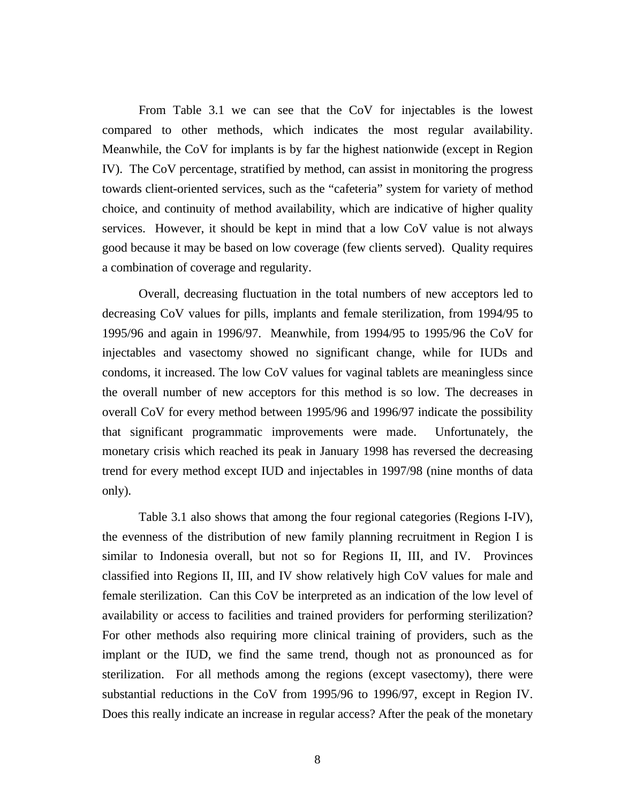From Table 3.1 we can see that the CoV for injectables is the lowest compared to other methods, which indicates the most regular availability. Meanwhile, the CoV for implants is by far the highest nationwide (except in Region IV). The CoV percentage, stratified by method, can assist in monitoring the progress towards client-oriented services, such as the "cafeteria" system for variety of method choice, and continuity of method availability, which are indicative of higher quality services. However, it should be kept in mind that a low CoV value is not always good because it may be based on low coverage (few clients served). Quality requires a combination of coverage and regularity.

Overall, decreasing fluctuation in the total numbers of new acceptors led to decreasing CoV values for pills, implants and female sterilization, from 1994/95 to 1995/96 and again in 1996/97. Meanwhile, from 1994/95 to 1995/96 the CoV for injectables and vasectomy showed no significant change, while for IUDs and condoms, it increased. The low CoV values for vaginal tablets are meaningless since the overall number of new acceptors for this method is so low. The decreases in overall CoV for every method between 1995/96 and 1996/97 indicate the possibility that significant programmatic improvements were made. Unfortunately, the monetary crisis which reached its peak in January 1998 has reversed the decreasing trend for every method except IUD and injectables in 1997/98 (nine months of data only).

Table 3.1 also shows that among the four regional categories (Regions I-IV), the evenness of the distribution of new family planning recruitment in Region I is similar to Indonesia overall, but not so for Regions II, III, and IV. Provinces classified into Regions II, III, and IV show relatively high CoV values for male and female sterilization. Can this CoV be interpreted as an indication of the low level of availability or access to facilities and trained providers for performing sterilization? For other methods also requiring more clinical training of providers, such as the implant or the IUD, we find the same trend, though not as pronounced as for sterilization. For all methods among the regions (except vasectomy), there were substantial reductions in the CoV from 1995/96 to 1996/97, except in Region IV. Does this really indicate an increase in regular access? After the peak of the monetary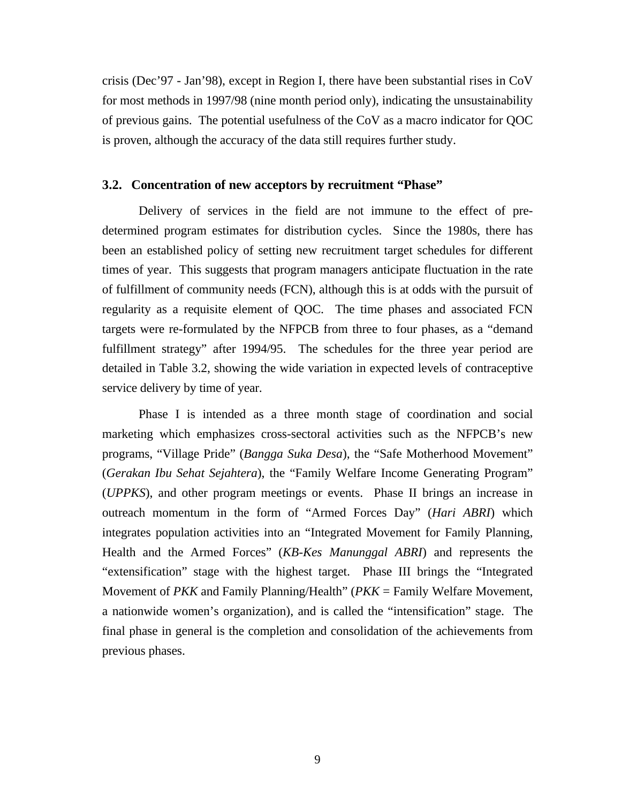crisis (Dec'97 - Jan'98), except in Region I, there have been substantial rises in CoV for most methods in 1997/98 (nine month period only), indicating the unsustainability of previous gains. The potential usefulness of the CoV as a macro indicator for QOC is proven, although the accuracy of the data still requires further study.

#### **3.2. Concentration of new acceptors by recruitment "Phase"**

Delivery of services in the field are not immune to the effect of predetermined program estimates for distribution cycles. Since the 1980s, there has been an established policy of setting new recruitment target schedules for different times of year. This suggests that program managers anticipate fluctuation in the rate of fulfillment of community needs (FCN), although this is at odds with the pursuit of regularity as a requisite element of QOC. The time phases and associated FCN targets were re-formulated by the NFPCB from three to four phases, as a "demand fulfillment strategy" after 1994/95. The schedules for the three year period are detailed in Table 3.2, showing the wide variation in expected levels of contraceptive service delivery by time of year.

Phase I is intended as a three month stage of coordination and social marketing which emphasizes cross-sectoral activities such as the NFPCB's new programs, "Village Pride" (*Bangga Suka Desa*), the "Safe Motherhood Movement" (*Gerakan Ibu Sehat Sejahtera*), the "Family Welfare Income Generating Program" (*UPPKS*), and other program meetings or events. Phase II brings an increase in outreach momentum in the form of "Armed Forces Day" (*Hari ABRI*) which integrates population activities into an "Integrated Movement for Family Planning, Health and the Armed Forces" (*KB-Kes Manunggal ABRI*) and represents the "extensification" stage with the highest target. Phase III brings the "Integrated Movement of *PKK* and Family Planning/Health" (*PKK* = Family Welfare Movement, a nationwide women's organization), and is called the "intensification" stage. The final phase in general is the completion and consolidation of the achievements from previous phases.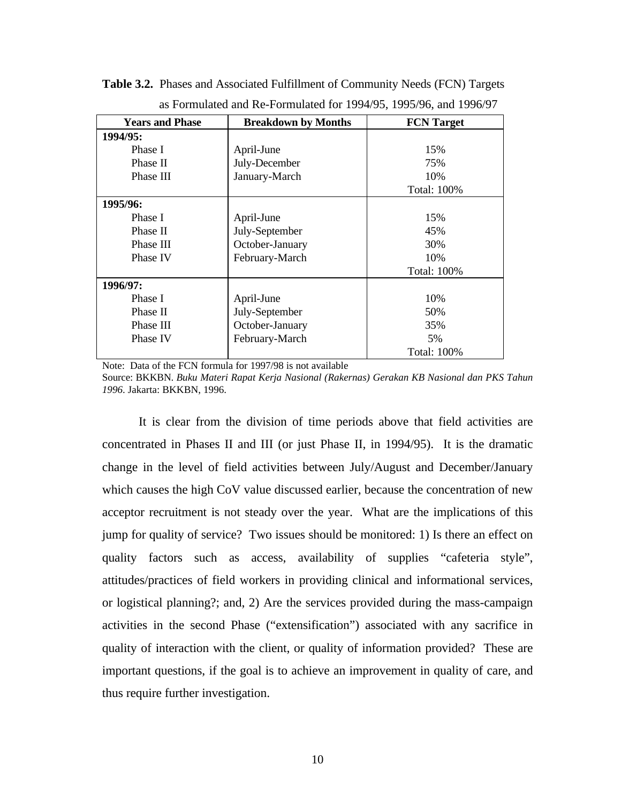| <b>Years and Phase</b> | <b>Breakdown by Months</b> | <b>FCN</b> Target  |
|------------------------|----------------------------|--------------------|
| 1994/95:               |                            |                    |
| Phase I                | April-June                 | 15%                |
| Phase II               | July-December              | 75%                |
| Phase III              | January-March              | 10%                |
|                        |                            | Total: 100%        |
| 1995/96:               |                            |                    |
| Phase I                | April-June                 | 15%                |
| Phase II               | July-September             | 45%                |
| Phase III              | October-January            | 30%                |
| Phase IV               | February-March             | 10%                |
|                        |                            | Total: 100%        |
| 1996/97:               |                            |                    |
| Phase I                | April-June                 | 10%                |
| Phase II               | July-September             | 50%                |
| Phase III              | October-January            | 35%                |
| Phase IV               | February-March             | 5%                 |
|                        |                            | <b>Total: 100%</b> |

**Table 3.2.** Phases and Associated Fulfillment of Community Needs (FCN) Targets as Formulated and Re-Formulated for 1994/95, 1995/96, and 1996/97

Note: Data of the FCN formula for 1997/98 is not available

Source: BKKBN. *Buku Materi Rapat Kerja Nasional (Rakernas) Gerakan KB Nasional dan PKS Tahun 1996*. Jakarta: BKKBN, 1996.

It is clear from the division of time periods above that field activities are concentrated in Phases II and III (or just Phase II, in 1994/95). It is the dramatic change in the level of field activities between July/August and December/January which causes the high CoV value discussed earlier, because the concentration of new acceptor recruitment is not steady over the year. What are the implications of this jump for quality of service? Two issues should be monitored: 1) Is there an effect on quality factors such as access, availability of supplies "cafeteria style", attitudes/practices of field workers in providing clinical and informational services, or logistical planning?; and, 2) Are the services provided during the mass-campaign activities in the second Phase ("extensification") associated with any sacrifice in quality of interaction with the client, or quality of information provided? These are important questions, if the goal is to achieve an improvement in quality of care, and thus require further investigation.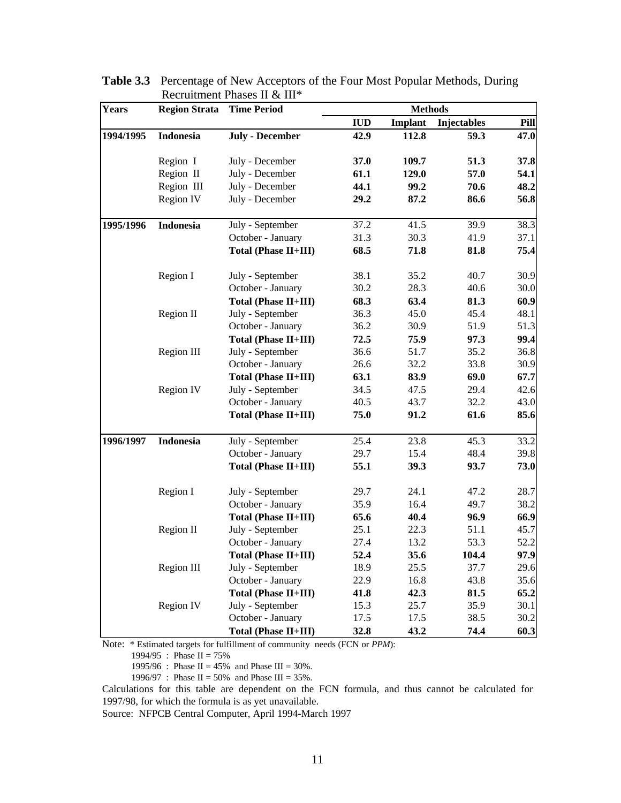| <b>Years</b> | <b>Region Strata</b> | <b>Time Period</b>          | <b>Methods</b> |         |                    |      |  |  |
|--------------|----------------------|-----------------------------|----------------|---------|--------------------|------|--|--|
|              |                      |                             | <b>IUD</b>     | Implant | <b>Injectables</b> | Pill |  |  |
| 1994/1995    | <b>Indonesia</b>     | <b>July - December</b>      | 42.9           | 112.8   | 59.3               | 47.0 |  |  |
|              | Region I             | July - December             | 37.0           | 109.7   | 51.3               | 37.8 |  |  |
|              | Region II            | July - December             | 61.1           | 129.0   | 57.0               | 54.1 |  |  |
|              | Region III           | July - December             | 44.1           | 99.2    | 70.6               | 48.2 |  |  |
|              | Region IV            | July - December             | 29.2           | 87.2    | 86.6               | 56.8 |  |  |
| 1995/1996    | <b>Indonesia</b>     | July - September            | 37.2           | 41.5    | 39.9               | 38.3 |  |  |
|              |                      | October - January           | 31.3           | 30.3    | 41.9               | 37.1 |  |  |
|              |                      | Total (Phase II+III)        | 68.5           | 71.8    | 81.8               | 75.4 |  |  |
|              | Region I             | July - September            | 38.1           | 35.2    | 40.7               | 30.9 |  |  |
|              |                      | October - January           | 30.2           | 28.3    | 40.6               | 30.0 |  |  |
|              |                      | <b>Total (Phase II+III)</b> | 68.3           | 63.4    | 81.3               | 60.9 |  |  |
|              | Region II            | July - September            | 36.3           | 45.0    | 45.4               | 48.1 |  |  |
|              |                      | October - January           | 36.2           | 30.9    | 51.9               | 51.3 |  |  |
|              |                      | Total (Phase II+III)        | 72.5           | 75.9    | 97.3               | 99.4 |  |  |
|              | Region III           | July - September            | 36.6           | 51.7    | 35.2               | 36.8 |  |  |
|              |                      | October - January           | 26.6           | 32.2    | 33.8               | 30.9 |  |  |
|              |                      | <b>Total (Phase II+III)</b> | 63.1           | 83.9    | 69.0               | 67.7 |  |  |
|              | Region IV            | July - September            | 34.5           | 47.5    | 29.4               | 42.6 |  |  |
|              |                      | October - January           | 40.5           | 43.7    | 32.2               | 43.0 |  |  |
|              |                      | Total (Phase II+III)        | 75.0           | 91.2    | 61.6               | 85.6 |  |  |
| 1996/1997    | <b>Indonesia</b>     | July - September            | 25.4           | 23.8    | 45.3               | 33.2 |  |  |
|              |                      | October - January           | 29.7           | 15.4    | 48.4               | 39.8 |  |  |
|              |                      | Total (Phase II+III)        | 55.1           | 39.3    | 93.7               | 73.0 |  |  |
|              | Region I             | July - September            | 29.7           | 24.1    | 47.2               | 28.7 |  |  |
|              |                      | October - January           | 35.9           | 16.4    | 49.7               | 38.2 |  |  |
|              |                      | <b>Total (Phase II+III)</b> | 65.6           | 40.4    | 96.9               | 66.9 |  |  |
|              | Region II            | July - September            | 25.1           | 22.3    | 51.1               | 45.7 |  |  |
|              |                      | October - January           | 27.4           | 13.2    | 53.3               | 52.2 |  |  |
|              |                      | Total (Phase II+III)        | 52.4           | 35.6    | 104.4              | 97.9 |  |  |
|              | Region III           | July - September            | 18.9           | 25.5    | 37.7               | 29.6 |  |  |
|              |                      | October - January           | 22.9           | 16.8    | 43.8               | 35.6 |  |  |
|              |                      | <b>Total (Phase II+III)</b> | 41.8           | 42.3    | 81.5               | 65.2 |  |  |
|              | Region IV            | July - September            | 15.3           | 25.7    | 35.9               | 30.1 |  |  |
|              |                      | October - January           | 17.5           | 17.5    | 38.5               | 30.2 |  |  |
|              |                      | Total (Phase II+III)        | 32.8           | 43.2    | 74.4               | 60.3 |  |  |

**Table 3.3** Percentage of New Acceptors of the Four Most Popular Methods, During Recruitment Phases II & III\*

Note: \* Estimated targets for fulfillment of community needs (FCN or *PPM*):

1994/95 : Phase II =  $75\%$ 

1995/96 : Phase II = 45% and Phase III = 30%.

1996/97 : Phase II = 50% and Phase III = 35%.

Calculations for this table are dependent on the FCN formula, and thus cannot be calculated for 1997/98, for which the formula is as yet unavailable.

Source: NFPCB Central Computer, April 1994-March 1997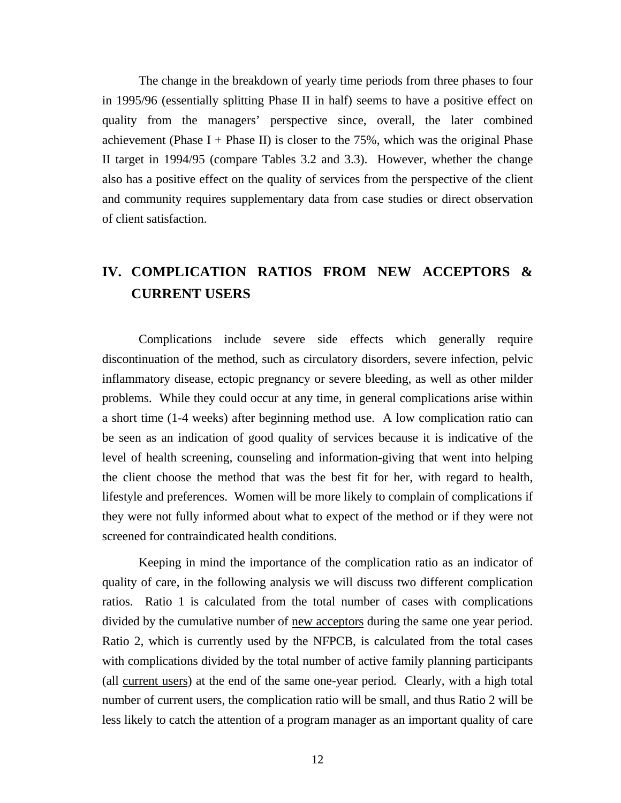The change in the breakdown of yearly time periods from three phases to four in 1995/96 (essentially splitting Phase II in half) seems to have a positive effect on quality from the managers' perspective since, overall, the later combined achievement (Phase I + Phase II) is closer to the  $75\%$ , which was the original Phase II target in 1994/95 (compare Tables 3.2 and 3.3). However, whether the change also has a positive effect on the quality of services from the perspective of the client and community requires supplementary data from case studies or direct observation of client satisfaction.

## **IV. COMPLICATION RATIOS FROM NEW ACCEPTORS & CURRENT USERS**

Complications include severe side effects which generally require discontinuation of the method, such as circulatory disorders, severe infection, pelvic inflammatory disease, ectopic pregnancy or severe bleeding, as well as other milder problems. While they could occur at any time, in general complications arise within a short time (1-4 weeks) after beginning method use. A low complication ratio can be seen as an indication of good quality of services because it is indicative of the level of health screening, counseling and information-giving that went into helping the client choose the method that was the best fit for her, with regard to health, lifestyle and preferences. Women will be more likely to complain of complications if they were not fully informed about what to expect of the method or if they were not screened for contraindicated health conditions.

Keeping in mind the importance of the complication ratio as an indicator of quality of care, in the following analysis we will discuss two different complication ratios. Ratio 1 is calculated from the total number of cases with complications divided by the cumulative number of <u>new acceptors</u> during the same one year period. Ratio 2, which is currently used by the NFPCB, is calculated from the total cases with complications divided by the total number of active family planning participants (all current users) at the end of the same one-year period. Clearly, with a high total number of current users, the complication ratio will be small, and thus Ratio 2 will be less likely to catch the attention of a program manager as an important quality of care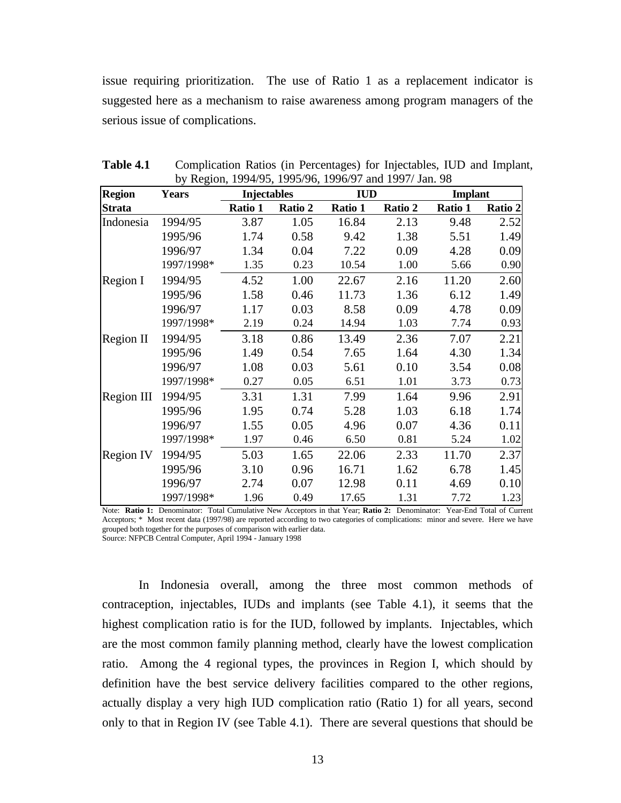issue requiring prioritization. The use of Ratio 1 as a replacement indicator is suggested here as a mechanism to raise awareness among program managers of the serious issue of complications.

| <b>Region</b> | <b>Years</b> | <b>Injectables</b> |         | <b>IUD</b> |         | <b>Implant</b> |         |
|---------------|--------------|--------------------|---------|------------|---------|----------------|---------|
| <b>Strata</b> |              | Ratio 1            | Ratio 2 | Ratio 1    | Ratio 2 | Ratio 1        | Ratio 2 |
| Indonesia     | 1994/95      | 3.87               | 1.05    | 16.84      | 2.13    | 9.48           | 2.52    |
|               | 1995/96      | 1.74               | 0.58    | 9.42       | 1.38    | 5.51           | 1.49    |
|               | 1996/97      | 1.34               | 0.04    | 7.22       | 0.09    | 4.28           | 0.09    |
|               | 1997/1998*   | 1.35               | 0.23    | 10.54      | 1.00    | 5.66           | 0.90    |
| Region I      | 1994/95      | 4.52               | 1.00    | 22.67      | 2.16    | 11.20          | 2.60    |
|               | 1995/96      | 1.58               | 0.46    | 11.73      | 1.36    | 6.12           | 1.49    |
|               | 1996/97      | 1.17               | 0.03    | 8.58       | 0.09    | 4.78           | 0.09    |
|               | 1997/1998*   | 2.19               | 0.24    | 14.94      | 1.03    | 7.74           | 0.93    |
| Region II     | 1994/95      | 3.18               | 0.86    | 13.49      | 2.36    | 7.07           | 2.21    |
|               | 1995/96      | 1.49               | 0.54    | 7.65       | 1.64    | 4.30           | 1.34    |
|               | 1996/97      | 1.08               | 0.03    | 5.61       | 0.10    | 3.54           | 0.08    |
|               | 1997/1998*   | 0.27               | 0.05    | 6.51       | 1.01    | 3.73           | 0.73    |
| Region III    | 1994/95      | 3.31               | 1.31    | 7.99       | 1.64    | 9.96           | 2.91    |
|               | 1995/96      | 1.95               | 0.74    | 5.28       | 1.03    | 6.18           | 1.74    |
|               | 1996/97      | 1.55               | 0.05    | 4.96       | 0.07    | 4.36           | 0.11    |
|               | 1997/1998*   | 1.97               | 0.46    | 6.50       | 0.81    | 5.24           | 1.02    |
| Region IV     | 1994/95      | 5.03               | 1.65    | 22.06      | 2.33    | 11.70          | 2.37    |
|               | 1995/96      | 3.10               | 0.96    | 16.71      | 1.62    | 6.78           | 1.45    |
|               | 1996/97      | 2.74               | 0.07    | 12.98      | 0.11    | 4.69           | 0.10    |
|               | 1997/1998*   | 1.96               | 0.49    | 17.65      | 1.31    | 7.72           | 1.23    |

**Table 4.1** Complication Ratios (in Percentages) for Injectables, IUD and Implant, by Region, 1994/95, 1995/96, 1996/97 and 1997/ Jan. 98

Note: **Ratio 1:** Denominator: Total Cumulative New Acceptors in that Year; **Ratio 2:** Denominator: Year-End Total of Current Acceptors; \* Most recent data (1997/98) are reported according to two categories of complications: minor and severe. Here we have grouped both together for the purposes of comparison with earlier data. Source: NFPCB Central Computer, April 1994 - January 1998

In Indonesia overall, among the three most common methods of contraception, injectables, IUDs and implants (see Table 4.1), it seems that the highest complication ratio is for the IUD, followed by implants. Injectables, which are the most common family planning method, clearly have the lowest complication ratio. Among the 4 regional types, the provinces in Region I, which should by definition have the best service delivery facilities compared to the other regions, actually display a very high IUD complication ratio (Ratio 1) for all years, second only to that in Region IV (see Table 4.1). There are several questions that should be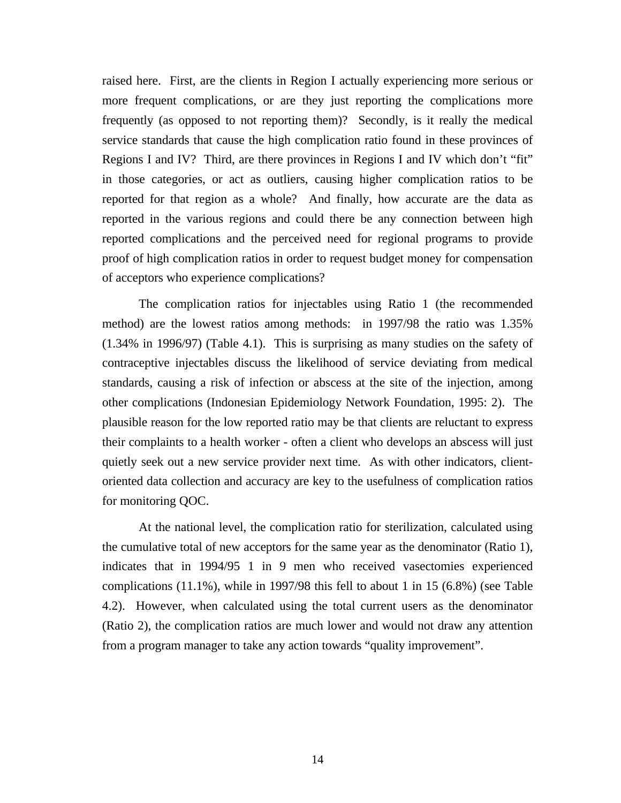raised here. First, are the clients in Region I actually experiencing more serious or more frequent complications, or are they just reporting the complications more frequently (as opposed to not reporting them)? Secondly, is it really the medical service standards that cause the high complication ratio found in these provinces of Regions I and IV? Third, are there provinces in Regions I and IV which don't "fit" in those categories, or act as outliers, causing higher complication ratios to be reported for that region as a whole? And finally, how accurate are the data as reported in the various regions and could there be any connection between high reported complications and the perceived need for regional programs to provide proof of high complication ratios in order to request budget money for compensation of acceptors who experience complications?

The complication ratios for injectables using Ratio 1 (the recommended method) are the lowest ratios among methods: in 1997/98 the ratio was 1.35% (1.34% in 1996/97) (Table 4.1). This is surprising as many studies on the safety of contraceptive injectables discuss the likelihood of service deviating from medical standards, causing a risk of infection or abscess at the site of the injection, among other complications (Indonesian Epidemiology Network Foundation, 1995: 2). The plausible reason for the low reported ratio may be that clients are reluctant to express their complaints to a health worker - often a client who develops an abscess will just quietly seek out a new service provider next time. As with other indicators, clientoriented data collection and accuracy are key to the usefulness of complication ratios for monitoring QOC.

At the national level, the complication ratio for sterilization, calculated using the cumulative total of new acceptors for the same year as the denominator (Ratio 1), indicates that in 1994/95 1 in 9 men who received vasectomies experienced complications (11.1%), while in 1997/98 this fell to about 1 in 15 (6.8%) (see Table 4.2). However, when calculated using the total current users as the denominator (Ratio 2), the complication ratios are much lower and would not draw any attention from a program manager to take any action towards "quality improvement".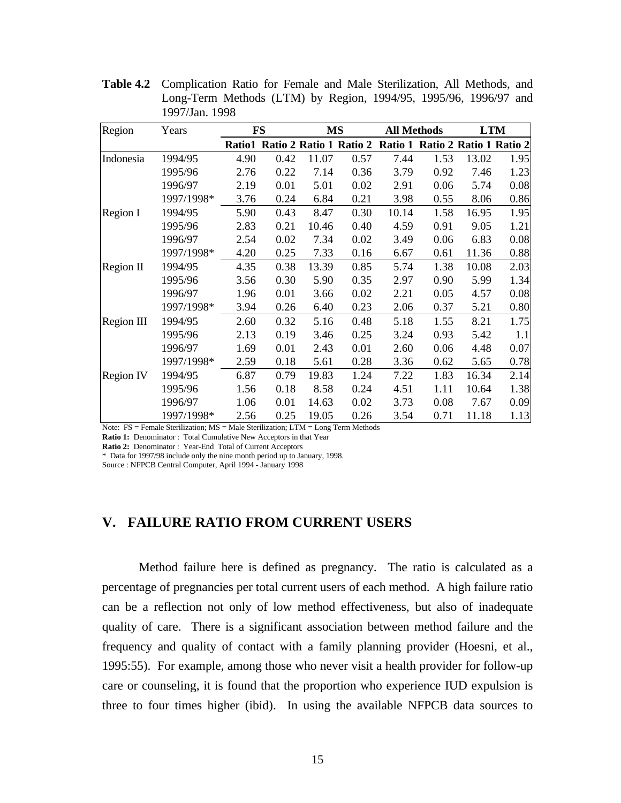**Table 4.2** Complication Ratio for Female and Male Sterilization, All Methods, and Long-Term Methods (LTM) by Region, 1994/95, 1995/96, 1996/97 and 1997/Jan. 1998

| Region           | Years      |      | <b>FS</b> |       | MS                             | <b>All Methods</b> |                                 |       | <b>LTM</b> |
|------------------|------------|------|-----------|-------|--------------------------------|--------------------|---------------------------------|-------|------------|
|                  |            |      |           |       | Ratio1 Ratio 2 Ratio 1 Ratio 2 |                    | Ratio 1 Ratio 2 Ratio 1 Ratio 2 |       |            |
| Indonesia        | 1994/95    | 4.90 | 0.42      | 11.07 | 0.57                           | 7.44               | 1.53                            | 13.02 | 1.95       |
|                  | 1995/96    | 2.76 | 0.22      | 7.14  | 0.36                           | 3.79               | 0.92                            | 7.46  | 1.23       |
|                  | 1996/97    | 2.19 | 0.01      | 5.01  | 0.02                           | 2.91               | 0.06                            | 5.74  | 0.08       |
|                  | 1997/1998* | 3.76 | 0.24      | 6.84  | 0.21                           | 3.98               | 0.55                            | 8.06  | 0.86       |
| Region I         | 1994/95    | 5.90 | 0.43      | 8.47  | 0.30                           | 10.14              | 1.58                            | 16.95 | 1.95       |
|                  | 1995/96    | 2.83 | 0.21      | 10.46 | 0.40                           | 4.59               | 0.91                            | 9.05  | 1.21       |
|                  | 1996/97    | 2.54 | 0.02      | 7.34  | 0.02                           | 3.49               | 0.06                            | 6.83  | 0.08       |
|                  | 1997/1998* | 4.20 | 0.25      | 7.33  | 0.16                           | 6.67               | 0.61                            | 11.36 | 0.88       |
| Region II        | 1994/95    | 4.35 | 0.38      | 13.39 | 0.85                           | 5.74               | 1.38                            | 10.08 | 2.03       |
|                  | 1995/96    | 3.56 | 0.30      | 5.90  | 0.35                           | 2.97               | 0.90                            | 5.99  | 1.34       |
|                  | 1996/97    | 1.96 | 0.01      | 3.66  | 0.02                           | 2.21               | 0.05                            | 4.57  | 0.08       |
|                  | 1997/1998* | 3.94 | 0.26      | 6.40  | 0.23                           | 2.06               | 0.37                            | 5.21  | 0.80       |
| Region III       | 1994/95    | 2.60 | 0.32      | 5.16  | 0.48                           | 5.18               | 1.55                            | 8.21  | 1.75       |
|                  | 1995/96    | 2.13 | 0.19      | 3.46  | 0.25                           | 3.24               | 0.93                            | 5.42  | 1.1        |
|                  | 1996/97    | 1.69 | 0.01      | 2.43  | 0.01                           | 2.60               | 0.06                            | 4.48  | 0.07       |
|                  | 1997/1998* | 2.59 | 0.18      | 5.61  | 0.28                           | 3.36               | 0.62                            | 5.65  | 0.78       |
| <b>Region IV</b> | 1994/95    | 6.87 | 0.79      | 19.83 | 1.24                           | 7.22               | 1.83                            | 16.34 | 2.14       |
|                  | 1995/96    | 1.56 | 0.18      | 8.58  | 0.24                           | 4.51               | 1.11                            | 10.64 | 1.38       |
|                  | 1996/97    | 1.06 | 0.01      | 14.63 | 0.02                           | 3.73               | 0.08                            | 7.67  | 0.09       |
|                  | 1997/1998* | 2.56 | 0.25      | 19.05 | 0.26                           | 3.54               | 0.71                            | 11.18 | 1.13       |

Note: FS = Female Sterilization; MS = Male Sterilization; LTM = Long Term Methods

Ratio 1: Denominator : Total Cumulative New Acceptors in that Year

**Ratio 2:** Denominator : Year-End Total of Current Acceptors

\* Data for 1997/98 include only the nine month period up to January, 1998.

Source : NFPCB Central Computer, April 1994 - January 1998

## **V. FAILURE RATIO FROM CURRENT USERS**

Method failure here is defined as pregnancy. The ratio is calculated as a percentage of pregnancies per total current users of each method. A high failure ratio can be a reflection not only of low method effectiveness, but also of inadequate quality of care. There is a significant association between method failure and the frequency and quality of contact with a family planning provider (Hoesni, et al., 1995:55). For example, among those who never visit a health provider for follow-up care or counseling, it is found that the proportion who experience IUD expulsion is three to four times higher (ibid). In using the available NFPCB data sources to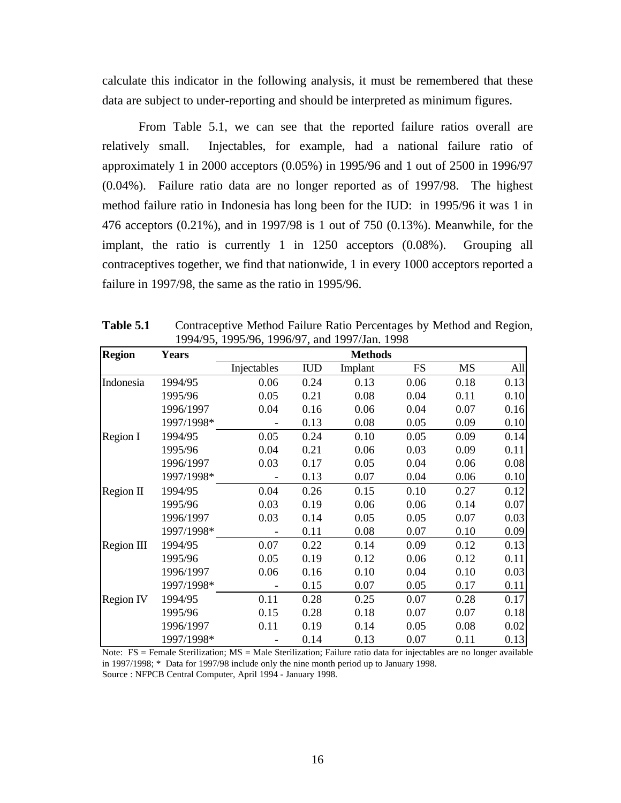calculate this indicator in the following analysis, it must be remembered that these data are subject to under-reporting and should be interpreted as minimum figures.

From Table 5.1, we can see that the reported failure ratios overall are relatively small. Injectables, for example, had a national failure ratio of approximately 1 in 2000 acceptors (0.05%) in 1995/96 and 1 out of 2500 in 1996/97 (0.04%). Failure ratio data are no longer reported as of 1997/98. The highest method failure ratio in Indonesia has long been for the IUD: in 1995/96 it was 1 in 476 acceptors (0.21%), and in 1997/98 is 1 out of 750 (0.13%). Meanwhile, for the implant, the ratio is currently 1 in 1250 acceptors (0.08%). Grouping all contraceptives together, we find that nationwide, 1 in every 1000 acceptors reported a failure in 1997/98, the same as the ratio in 1995/96.

| <b>Region</b>     | <b>Years</b> |             |            | <b>Methods</b> |           |           |      |
|-------------------|--------------|-------------|------------|----------------|-----------|-----------|------|
|                   |              | Injectables | <b>IUD</b> | Implant        | <b>FS</b> | <b>MS</b> | All  |
| Indonesia         | 1994/95      | 0.06        | 0.24       | 0.13           | 0.06      | 0.18      | 0.13 |
|                   | 1995/96      | 0.05        | 0.21       | 0.08           | 0.04      | 0.11      | 0.10 |
|                   | 1996/1997    | 0.04        | 0.16       | 0.06           | 0.04      | 0.07      | 0.16 |
|                   | 1997/1998*   |             | 0.13       | 0.08           | 0.05      | 0.09      | 0.10 |
| <b>Region I</b>   | 1994/95      | 0.05        | 0.24       | 0.10           | 0.05      | 0.09      | 0.14 |
|                   | 1995/96      | 0.04        | 0.21       | 0.06           | 0.03      | 0.09      | 0.11 |
|                   | 1996/1997    | 0.03        | 0.17       | 0.05           | 0.04      | 0.06      | 0.08 |
|                   | 1997/1998*   |             | 0.13       | 0.07           | 0.04      | 0.06      | 0.10 |
| <b>Region II</b>  | 1994/95      | 0.04        | 0.26       | 0.15           | 0.10      | 0.27      | 0.12 |
|                   | 1995/96      | 0.03        | 0.19       | 0.06           | 0.06      | 0.14      | 0.07 |
|                   | 1996/1997    | 0.03        | 0.14       | 0.05           | 0.05      | 0.07      | 0.03 |
|                   | 1997/1998*   |             | 0.11       | 0.08           | 0.07      | 0.10      | 0.09 |
| <b>Region III</b> | 1994/95      | 0.07        | 0.22       | 0.14           | 0.09      | 0.12      | 0.13 |
|                   | 1995/96      | 0.05        | 0.19       | 0.12           | 0.06      | 0.12      | 0.11 |
|                   | 1996/1997    | 0.06        | 0.16       | 0.10           | 0.04      | 0.10      | 0.03 |
|                   | 1997/1998*   |             | 0.15       | 0.07           | 0.05      | 0.17      | 0.11 |
| <b>Region IV</b>  | 1994/95      | 0.11        | 0.28       | 0.25           | 0.07      | 0.28      | 0.17 |
|                   | 1995/96      | 0.15        | 0.28       | 0.18           | 0.07      | 0.07      | 0.18 |
|                   | 1996/1997    | 0.11        | 0.19       | 0.14           | 0.05      | 0.08      | 0.02 |
|                   | 1997/1998*   |             | 0.14       | 0.13           | 0.07      | 0.11      | 0.13 |

Table 5.1 Contraceptive Method Failure Ratio Percentages by Method and Region, 1994/95, 1995/96, 1996/97, and 1997/Jan. 1998

Note: FS = Female Sterilization; MS = Male Sterilization; Failure ratio data for injectables are no longer available in 1997/1998; \* Data for 1997/98 include only the nine month period up to January 1998. Source : NFPCB Central Computer, April 1994 - January 1998.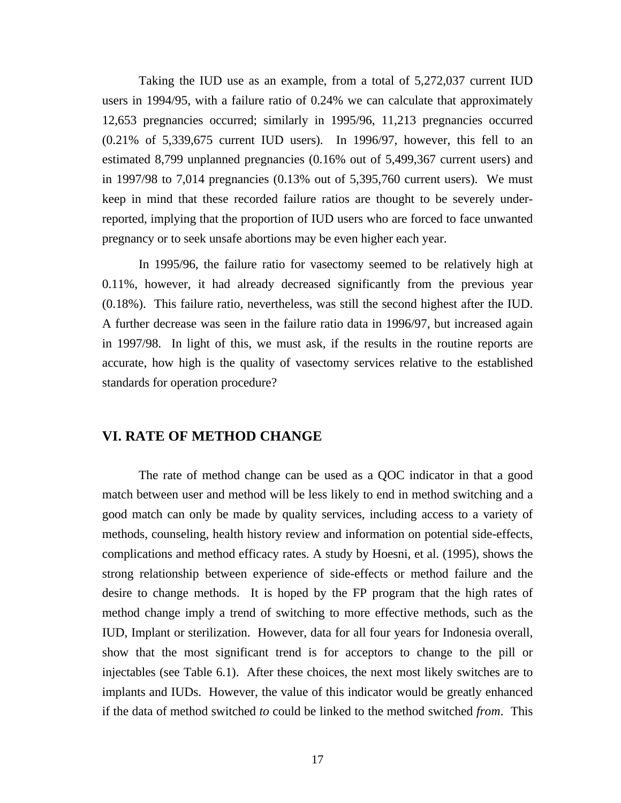Taking the IUD use as an example, from a total of 5,272,037 current IUD users in 1994/95, with a failure ratio of 0.24% we can calculate that approximately 12,653 pregnancies occurred; similarly in 1995/96, 11,213 pregnancies occurred (0.21% of 5,339,675 current IUD users). In 1996/97, however, this fell to an estimated 8,799 unplanned pregnancies (0.16% out of 5,499,367 current users) and in 1997/98 to 7,014 pregnancies  $(0.13\%$  out of 5,395,760 current users). We must keep in mind that these recorded failure ratios are thought to be severely underreported, implying that the proportion of IUD users who are forced to face unwanted pregnancy or to seek unsafe abortions may be even higher each year.

In 1995/96, the failure ratio for vasectomy seemed to be relatively high at 0.11%, however, it had already decreased significantly from the previous year (0.18%). This failure ratio, nevertheless, was still the second highest after the IUD. A further decrease was seen in the failure ratio data in 1996/97, but increased again in 1997/98. In light of this, we must ask, if the results in the routine reports are accurate, how high is the quality of vasectomy services relative to the established standards for operation procedure?

### **VI. RATE OF METHOD CHANGE**

The rate of method change can be used as a QOC indicator in that a good match between user and method will be less likely to end in method switching and a good match can only be made by quality services, including access to a variety of methods, counseling, health history review and information on potential side-effects, complications and method efficacy rates. A study by Hoesni, et al. (1995), shows the strong relationship between experience of side-effects or method failure and the desire to change methods. It is hoped by the FP program that the high rates of method change imply a trend of switching to more effective methods, such as the IUD, Implant or sterilization. However, data for all four years for Indonesia overall, show that the most significant trend is for acceptors to change to the pill or injectables (see Table 6.1). After these choices, the next most likely switches are to implants and IUDs. However, the value of this indicator would be greatly enhanced if the data of method switched *to* could be linked to the method switched *from*. This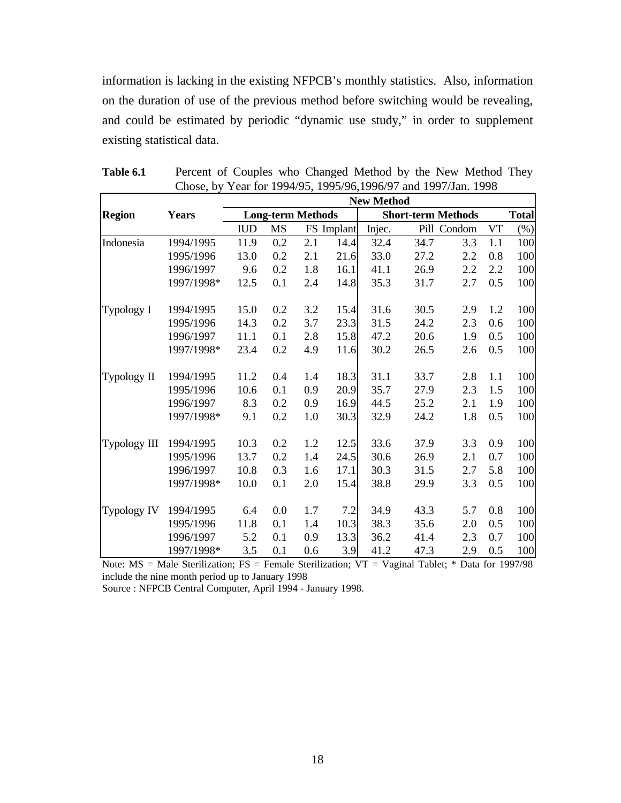information is lacking in the existing NFPCB's monthly statistics. Also, information on the duration of use of the previous method before switching would be revealing, and could be estimated by periodic "dynamic use study," in order to supplement existing statistical data.

|                     |              |            |                          |     |            | <b>New Method</b> |      |                           |     |              |
|---------------------|--------------|------------|--------------------------|-----|------------|-------------------|------|---------------------------|-----|--------------|
| <b>Region</b>       | <b>Years</b> |            | <b>Long-term Methods</b> |     |            |                   |      | <b>Short-term Methods</b> |     | <b>Total</b> |
|                     |              | <b>IUD</b> | <b>MS</b>                |     | FS Implant | Injec.            |      | Pill Condom               | VT  | $(\%)$       |
| Indonesia           | 1994/1995    | 11.9       | 0.2                      | 2.1 | 14.4       | 32.4              | 34.7 | 3.3                       | 1.1 | 100          |
|                     | 1995/1996    | 13.0       | 0.2                      | 2.1 | 21.6       | 33.0              | 27.2 | 2.2                       | 0.8 | 100          |
|                     | 1996/1997    | 9.6        | 0.2                      | 1.8 | 16.1       | 41.1              | 26.9 | 2.2                       | 2.2 | 100          |
|                     | 1997/1998*   | 12.5       | 0.1                      | 2.4 | 14.8       | 35.3              | 31.7 | 2.7                       | 0.5 | 100          |
| Typology I          | 1994/1995    | 15.0       | 0.2                      | 3.2 | 15.4       | 31.6              | 30.5 | 2.9                       | 1.2 | 100          |
|                     | 1995/1996    | 14.3       | 0.2                      | 3.7 | 23.3       | 31.5              | 24.2 | 2.3                       | 0.6 | 100          |
|                     | 1996/1997    | 11.1       | 0.1                      | 2.8 | 15.8       | 47.2              | 20.6 | 1.9                       | 0.5 | 100          |
|                     | 1997/1998*   | 23.4       | 0.2                      | 4.9 | 11.6       | 30.2              | 26.5 | 2.6                       | 0.5 | 100          |
| Typology II         | 1994/1995    | 11.2       | 0.4                      | 1.4 | 18.3       | 31.1              | 33.7 | 2.8                       | 1.1 | 100          |
|                     | 1995/1996    | 10.6       | 0.1                      | 0.9 | 20.9       | 35.7              | 27.9 | 2.3                       | 1.5 | 100          |
|                     | 1996/1997    | 8.3        | 0.2                      | 0.9 | 16.9       | 44.5              | 25.2 | 2.1                       | 1.9 | 100          |
|                     | 1997/1998*   | 9.1        | 0.2                      | 1.0 | 30.3       | 32.9              | 24.2 | 1.8                       | 0.5 | 100          |
| <b>Typology III</b> | 1994/1995    | 10.3       | 0.2                      | 1.2 | 12.5       | 33.6              | 37.9 | 3.3                       | 0.9 | 100          |
|                     | 1995/1996    | 13.7       | 0.2                      | 1.4 | 24.5       | 30.6              | 26.9 | 2.1                       | 0.7 | 100          |
|                     | 1996/1997    | 10.8       | 0.3                      | 1.6 | 17.1       | 30.3              | 31.5 | 2.7                       | 5.8 | 100          |
|                     | 1997/1998*   | 10.0       | 0.1                      | 2.0 | 15.4       | 38.8              | 29.9 | 3.3                       | 0.5 | 100          |
| Typology IV         | 1994/1995    | 6.4        | 0.0                      | 1.7 | 7.2        | 34.9              | 43.3 | 5.7                       | 0.8 | 100          |
|                     | 1995/1996    | 11.8       | 0.1                      | 1.4 | 10.3       | 38.3              | 35.6 | 2.0                       | 0.5 | 100          |
|                     | 1996/1997    | 5.2        | 0.1                      | 0.9 | 13.3       | 36.2              | 41.4 | 2.3                       | 0.7 | 100          |
|                     | 1997/1998*   | 3.5        | 0.1                      | 0.6 | 3.9        | 41.2              | 47.3 | 2.9                       | 0.5 | 100          |

Table 6.1 Percent of Couples who Changed Method by the New Method They Chose, by Year for 1994/95, 1995/96,1996/97 and 1997/Jan. 1998

Note:  $MS = Male Sterilization$ ;  $FS = Female Sterilization$ ;  $VT = Vaginal Table$ ; \* Data for 1997/98 include the nine month period up to January 1998

Source : NFPCB Central Computer, April 1994 - January 1998.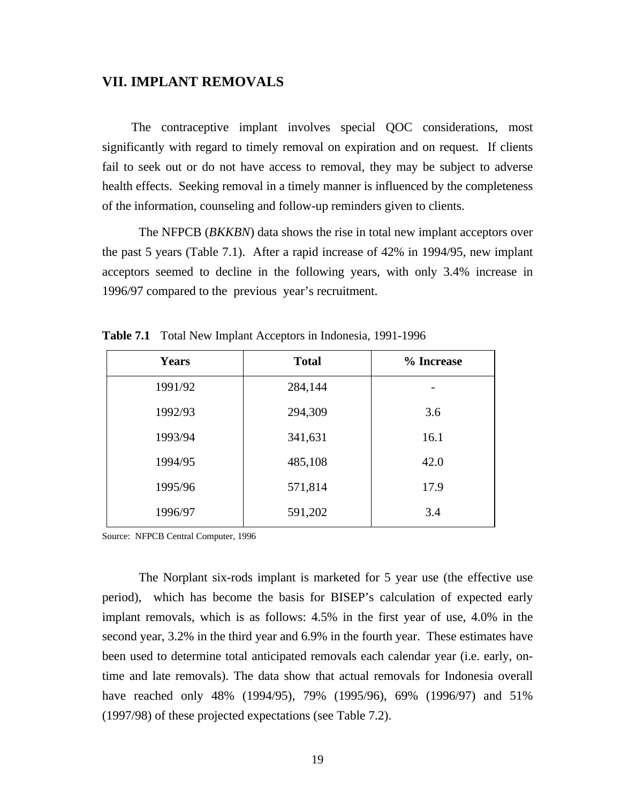## **VII. IMPLANT REMOVALS**

The contraceptive implant involves special QOC considerations, most significantly with regard to timely removal on expiration and on request. If clients fail to seek out or do not have access to removal, they may be subject to adverse health effects. Seeking removal in a timely manner is influenced by the completeness of the information, counseling and follow-up reminders given to clients.

The NFPCB (*BKKBN*) data shows the rise in total new implant acceptors over the past 5 years (Table 7.1). After a rapid increase of 42% in 1994/95, new implant acceptors seemed to decline in the following years, with only 3.4% increase in 1996/97 compared to the previous year's recruitment.

| <b>Years</b> | <b>Total</b> | % Increase |
|--------------|--------------|------------|
| 1991/92      | 284,144      |            |
| 1992/93      | 294,309      | 3.6        |
| 1993/94      | 341,631      | 16.1       |
| 1994/95      | 485,108      | 42.0       |
| 1995/96      | 571,814      | 17.9       |
| 1996/97      | 591,202      | 3.4        |

**Table 7.1** Total New Implant Acceptors in Indonesia, 1991-1996

Source: NFPCB Central Computer, 1996

The Norplant six-rods implant is marketed for 5 year use (the effective use period), which has become the basis for BISEP's calculation of expected early implant removals, which is as follows: 4.5% in the first year of use, 4.0% in the second year, 3.2% in the third year and 6.9% in the fourth year. These estimates have been used to determine total anticipated removals each calendar year (i.e. early, ontime and late removals). The data show that actual removals for Indonesia overall have reached only 48% (1994/95), 79% (1995/96), 69% (1996/97) and 51% (1997/98) of these projected expectations (see Table 7.2).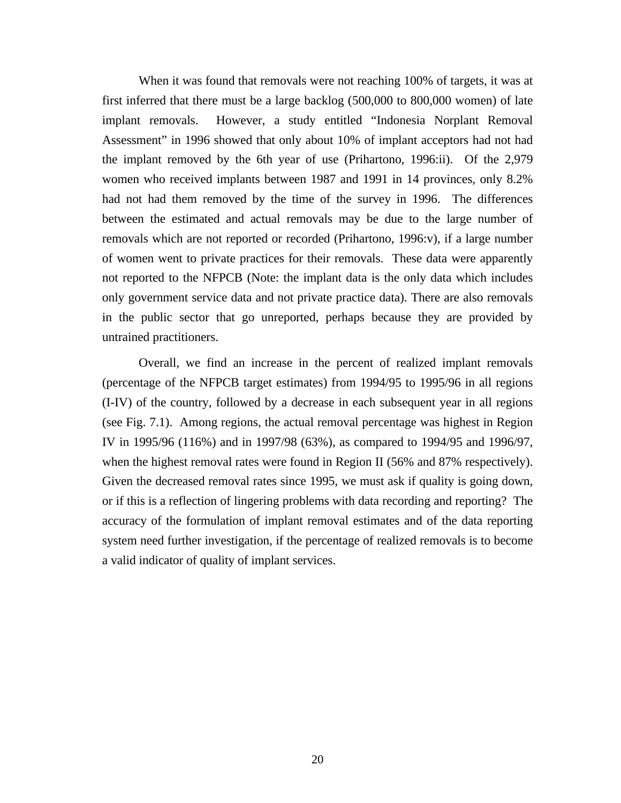When it was found that removals were not reaching 100% of targets, it was at first inferred that there must be a large backlog (500,000 to 800,000 women) of late implant removals. However, a study entitled "Indonesia Norplant Removal Assessment" in 1996 showed that only about 10% of implant acceptors had not had the implant removed by the 6th year of use (Prihartono, 1996:ii). Of the 2,979 women who received implants between 1987 and 1991 in 14 provinces, only 8.2% had not had them removed by the time of the survey in 1996. The differences between the estimated and actual removals may be due to the large number of removals which are not reported or recorded (Prihartono, 1996:v), if a large number of women went to private practices for their removals. These data were apparently not reported to the NFPCB (Note: the implant data is the only data which includes only government service data and not private practice data). There are also removals in the public sector that go unreported, perhaps because they are provided by untrained practitioners.

Overall, we find an increase in the percent of realized implant removals (percentage of the NFPCB target estimates) from 1994/95 to 1995/96 in all regions (I-IV) of the country, followed by a decrease in each subsequent year in all regions (see Fig. 7.1). Among regions, the actual removal percentage was highest in Region IV in 1995/96 (116%) and in 1997/98 (63%), as compared to 1994/95 and 1996/97, when the highest removal rates were found in Region II (56% and 87% respectively). Given the decreased removal rates since 1995, we must ask if quality is going down, or if this is a reflection of lingering problems with data recording and reporting? The accuracy of the formulation of implant removal estimates and of the data reporting system need further investigation, if the percentage of realized removals is to become a valid indicator of quality of implant services.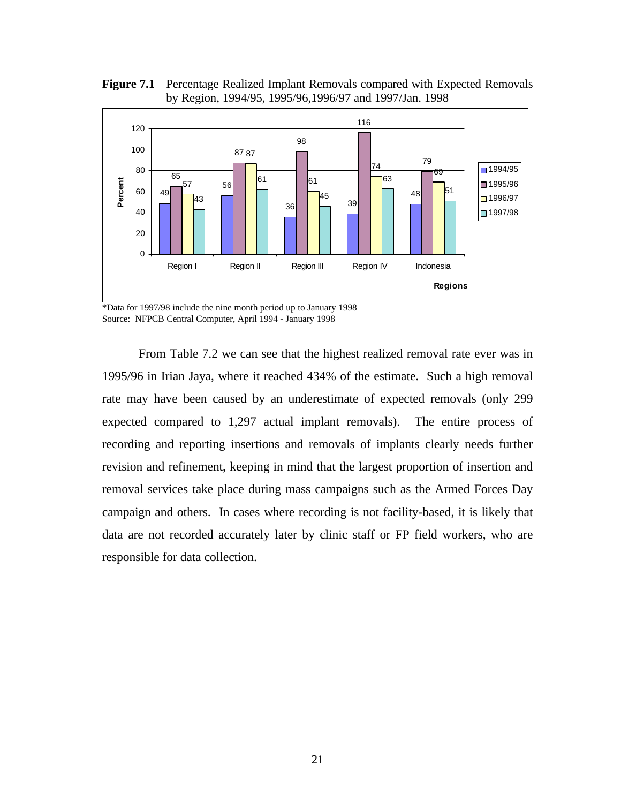**Figure 7.1** Percentage Realized Implant Removals compared with Expected Removals by Region, 1994/95, 1995/96,1996/97 and 1997/Jan. 1998



\*Data for 1997/98 include the nine month period up to January 1998 Source: NFPCB Central Computer, April 1994 - January 1998

From Table 7.2 we can see that the highest realized removal rate ever was in 1995/96 in Irian Jaya, where it reached 434% of the estimate. Such a high removal rate may have been caused by an underestimate of expected removals (only 299 expected compared to 1,297 actual implant removals). The entire process of recording and reporting insertions and removals of implants clearly needs further revision and refinement, keeping in mind that the largest proportion of insertion and removal services take place during mass campaigns such as the Armed Forces Day campaign and others. In cases where recording is not facility-based, it is likely that data are not recorded accurately later by clinic staff or FP field workers, who are responsible for data collection.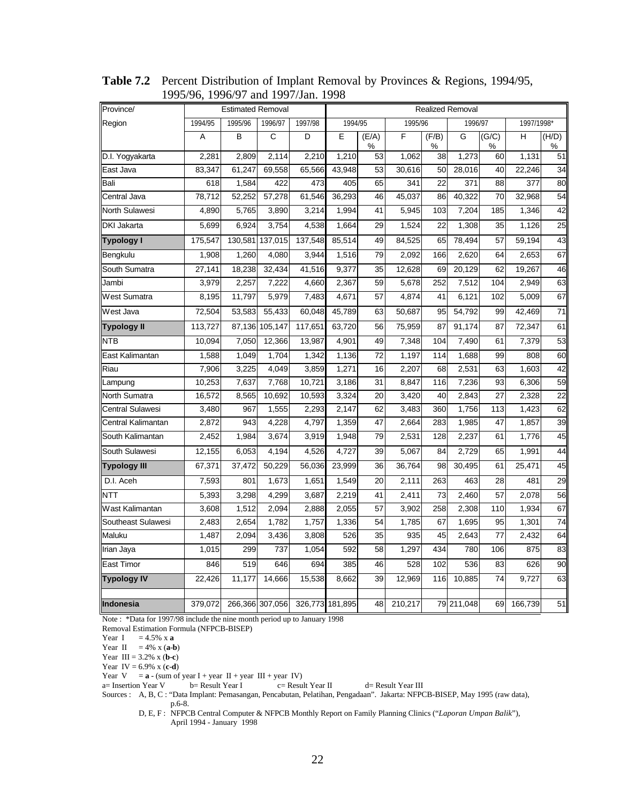| Province/           |         |         | <b>Estimated Removal</b><br><b>Realized Removal</b> |                 |         |            |         |            |            |            |            |                 |
|---------------------|---------|---------|-----------------------------------------------------|-----------------|---------|------------|---------|------------|------------|------------|------------|-----------------|
| Region              | 1994/95 | 1995/96 | 1996/97                                             | 1997/98         | 1994/95 |            | 1995/96 |            | 1996/97    |            | 1997/1998* |                 |
|                     | A       | B       | $\mathsf{C}$                                        | D               | E       | (E/A)<br>℅ | F       | (F/B)<br>% | G          | (G/C)<br>% | H          | (H/D)<br>℅      |
| D.I. Yogyakarta     | 2,281   | 2,809   | 2,114                                               | 2,210           | 1,210   | 53         | 1,062   | 38         | 1,273      | 60         | 1,131      | 51              |
| East Java           | 83,347  | 61,247  | 69,558                                              | 65,566          | 43,948  | 53         | 30,616  | 50         | 28,016     | 40         | 22,246     | 34              |
| Bali                | 618     | 1,584   | 422                                                 | 473             | 405     | 65         | 341     | 22         | 371        | 88         | 377        | 80              |
| Central Java        | 78,712  | 52,252  | 57,278                                              | 61,546          | 36,293  | 46         | 45,037  | 86         | 40,322     | 70         | 32,968     | 54              |
| North Sulawesi      | 4,890   | 5,765   | 3,890                                               | 3,214           | 1,994   | 41         | 5,945   | 103        | 7,204      | 185        | 1,346      | 42              |
| DKI Jakarta         | 5,699   | 6,924   | 3,754                                               | 4,538           | 1,664   | 29         | 1,524   | 22         | 1,308      | 35         | 1,126      | $\overline{25}$ |
| <b>Typology I</b>   | 175,547 |         | 130,581 137,015                                     | 137,548         | 85,514  | 49         | 84,525  | 65         | 78,494     | 57         | 59,194     | 43              |
| Bengkulu            | 1,908   | 1,260   | 4,080                                               | 3,944           | 1,516   | 79         | 2,092   | 166        | 2,620      | 64         | 2,653      | 67              |
| South Sumatra       | 27,141  | 18,238  | 32,434                                              | 41,516          | 9,377   | 35         | 12,628  | 69         | 20,129     | 62         | 19,267     | 46              |
| Jambi               | 3,979   | 2,257   | 7,222                                               | 4,660           | 2,367   | 59         | 5,678   | 252        | 7,512      | 104        | 2,949      | 63              |
| West Sumatra        | 8,195   | 11,797  | 5,979                                               | 7,483           | 4,671   | 57         | 4,874   | 41         | 6,121      | 102        | 5,009      | 67              |
| West Java           | 72,504  | 53,583  | 55,433                                              | 60,048          | 45,789  | 63         | 50,687  | 95         | 54,792     | 99         | 42,469     | 71              |
| Typology II         | 113,727 |         | 87,136 105,147                                      | 117,651         | 63,720  | 56         | 75,959  | 87         | 91,174     | 87         | 72,347     | 61              |
| NTB                 | 10,094  | 7,050   | 12,366                                              | 13,987          | 4,901   | 49         | 7,348   | 104        | 7,490      | 61         | 7,379      | 53              |
| East Kalimantan     | 1,588   | 1,049   | 1,704                                               | 1,342           | 1,136   | 72         | 1,197   | 114        | 1,688      | 99         | 808        | 60              |
| Riau                | 7,906   | 3,225   | 4,049                                               | 3,859           | 1,271   | 16         | 2,207   | 68         | 2,531      | 63         | 1,603      | 42              |
| Lampung             | 10,253  | 7,637   | 7,768                                               | 10,721          | 3,186   | 31         | 8,847   | 116        | 7,236      | 93         | 6,306      | 59              |
| North Sumatra       | 16,572  | 8,565   | 10,692                                              | 10,593          | 3,324   | 20         | 3,420   | 40         | 2,843      | 27         | 2,328      | 22              |
| Central Sulawesi    | 3,480   | 967     | 1,555                                               | 2,293           | 2,147   | 62         | 3,483   | 360        | 1,756      | 113        | 1,423      | 62              |
| Central Kalimantan  | 2,872   | 943     | 4,228                                               | 4,797           | 1,359   | 47         | 2,664   | 283        | 1,985      | 47         | 1,857      | 39              |
| South Kalimantan    | 2,452   | 1,984   | 3,674                                               | 3,919           | 1,948   | 79         | 2,531   | 128        | 2,237      | 61         | 1,776      | 45              |
| South Sulawesi      | 12,155  | 6,053   | 4,194                                               | 4,526           | 4,727   | 39         | 5,067   | 84         | 2,729      | 65         | 1,991      | 44              |
| <b>Typology III</b> | 67,371  | 37,472  | 50,229                                              | 56,036          | 23,999  | 36         | 36,764  | 98         | 30,495     | 61         | 25,471     | 45              |
| D.I. Aceh           | 7,593   | 801     | 1,673                                               | 1,651           | 1,549   | 20         | 2,111   | 263        | 463        | 28         | 481        | 29              |
| <b>NTT</b>          | 5,393   | 3,298   | 4,299                                               | 3,687           | 2,219   | 41         | 2,411   | 73         | 2,460      | 57         | 2,078      | 56              |
| Wast Kalimantan     | 3,608   | 1,512   | 2,094                                               | 2,888           | 2,055   | 57         | 3,902   | 258        | 2,308      | 110        | 1,934      | 67              |
| Southeast Sulawesi  | 2,483   | 2,654   | 1,782                                               | 1,757           | 1,336   | 54         | 1,785   | 67         | 1,695      | 95         | 1,301      | 74              |
| Maluku              | 1,487   | 2,094   | 3,436                                               | 3,808           | 526     | 35         | 935     | 45         | 2,643      | 77         | 2,432      | 64              |
| Irian Jaya          | 1,015   | 299     | 737                                                 | 1,054           | 592     | 58         | 1,297   | 434        | 780        | 106        | 875        | 83              |
| East Timor          | 846     | 519     | 646                                                 | 694             | 385     | 46         | 528     | 102        | 536        | 83         | 626        | 90              |
| <b>Typology IV</b>  | 22,426  | 11,177  | 14,666                                              | 15,538          | 8,662   | 39         | 12,969  | 116        | 10,885     | 74         | 9,727      | 63              |
| Indonesia           | 379,072 |         | 266,366 307,056                                     | 326,773 181,895 |         | 48         | 210,217 |            | 79 211,048 | 69         | 166,739    | 51              |

**Table 7.2** Percent Distribution of Implant Removal by Provinces & Regions, 1994/95, 1995/96, 1996/97 and 1997/Jan. 1998

Note : \*Data for 1997/98 include the nine month period up to January 1998

Removal Estimation Formula (NFPCB-BISEP)

Year I =  $4.5\%$  x **a** 

Year II =  $4\%$  x (a-b)

Year III = 3.2% x (**b**-**c**) Year IV = 6.9% x (**c**-**d**)

Year  $V = a - (sum of year I + year II + year III + year IV)$ <br>a= Insertion Year V b= Result Year I c= Result  $c=$  Result Year II d= Result Year III

Sources : A, B, C : "Data Implant: Pemasangan, Pencabutan, Pelatihan, Pengadaan". Jakarta: NFPCB-BISEP, May 1995 (raw data), p.6-8.

D, E, F : NFPCB Central Computer & NFPCB Monthly Report on Family Planning Clinics ("*Laporan Umpan Balik*"), April 1994 - January 1998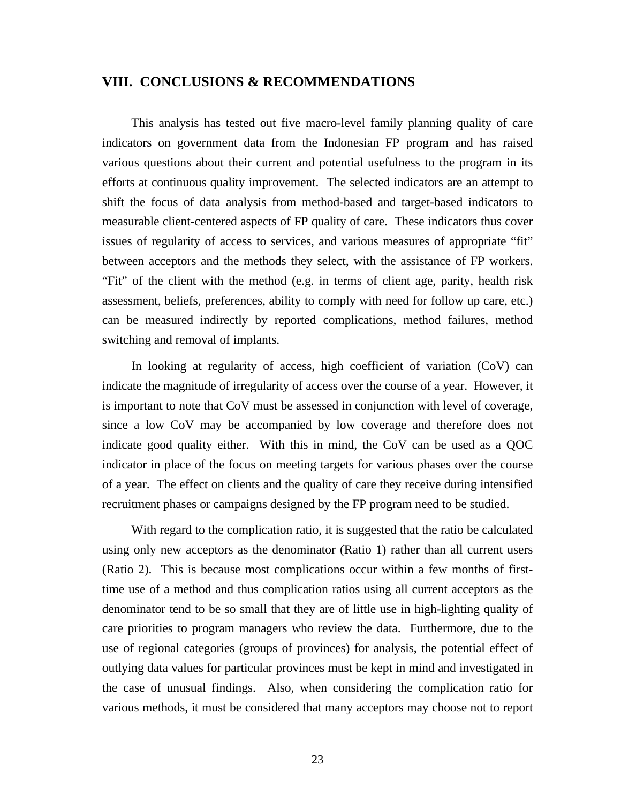### **VIII. CONCLUSIONS & RECOMMENDATIONS**

This analysis has tested out five macro-level family planning quality of care indicators on government data from the Indonesian FP program and has raised various questions about their current and potential usefulness to the program in its efforts at continuous quality improvement. The selected indicators are an attempt to shift the focus of data analysis from method-based and target-based indicators to measurable client-centered aspects of FP quality of care. These indicators thus cover issues of regularity of access to services, and various measures of appropriate "fit" between acceptors and the methods they select, with the assistance of FP workers. "Fit" of the client with the method (e.g. in terms of client age, parity, health risk assessment, beliefs, preferences, ability to comply with need for follow up care, etc.) can be measured indirectly by reported complications, method failures, method switching and removal of implants.

In looking at regularity of access, high coefficient of variation (CoV) can indicate the magnitude of irregularity of access over the course of a year. However, it is important to note that CoV must be assessed in conjunction with level of coverage, since a low CoV may be accompanied by low coverage and therefore does not indicate good quality either. With this in mind, the CoV can be used as a QOC indicator in place of the focus on meeting targets for various phases over the course of a year. The effect on clients and the quality of care they receive during intensified recruitment phases or campaigns designed by the FP program need to be studied.

With regard to the complication ratio, it is suggested that the ratio be calculated using only new acceptors as the denominator (Ratio 1) rather than all current users (Ratio 2). This is because most complications occur within a few months of firsttime use of a method and thus complication ratios using all current acceptors as the denominator tend to be so small that they are of little use in high-lighting quality of care priorities to program managers who review the data. Furthermore, due to the use of regional categories (groups of provinces) for analysis, the potential effect of outlying data values for particular provinces must be kept in mind and investigated in the case of unusual findings. Also, when considering the complication ratio for various methods, it must be considered that many acceptors may choose not to report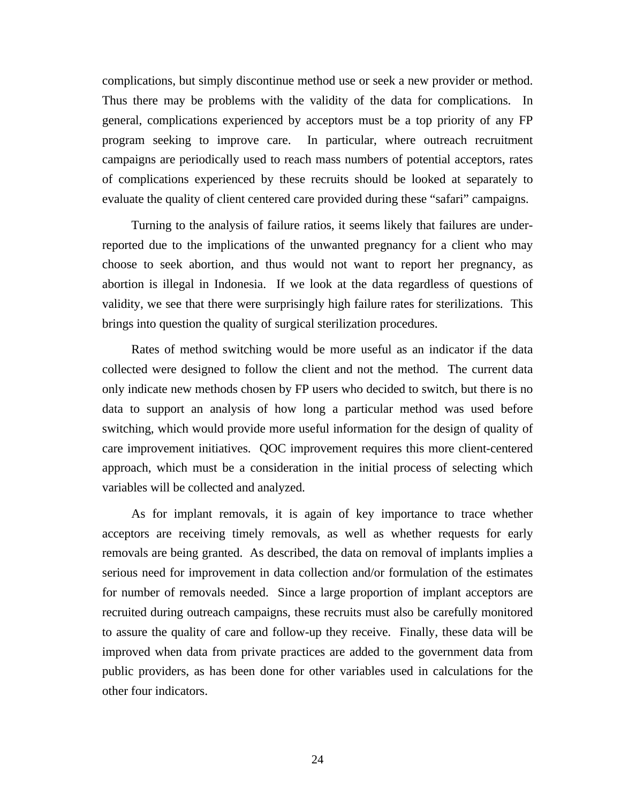complications, but simply discontinue method use or seek a new provider or method. Thus there may be problems with the validity of the data for complications. In general, complications experienced by acceptors must be a top priority of any FP program seeking to improve care. In particular, where outreach recruitment campaigns are periodically used to reach mass numbers of potential acceptors, rates of complications experienced by these recruits should be looked at separately to evaluate the quality of client centered care provided during these "safari" campaigns.

Turning to the analysis of failure ratios, it seems likely that failures are underreported due to the implications of the unwanted pregnancy for a client who may choose to seek abortion, and thus would not want to report her pregnancy, as abortion is illegal in Indonesia. If we look at the data regardless of questions of validity, we see that there were surprisingly high failure rates for sterilizations. This brings into question the quality of surgical sterilization procedures.

Rates of method switching would be more useful as an indicator if the data collected were designed to follow the client and not the method. The current data only indicate new methods chosen by FP users who decided to switch, but there is no data to support an analysis of how long a particular method was used before switching, which would provide more useful information for the design of quality of care improvement initiatives. QOC improvement requires this more client-centered approach, which must be a consideration in the initial process of selecting which variables will be collected and analyzed.

As for implant removals, it is again of key importance to trace whether acceptors are receiving timely removals, as well as whether requests for early removals are being granted. As described, the data on removal of implants implies a serious need for improvement in data collection and/or formulation of the estimates for number of removals needed. Since a large proportion of implant acceptors are recruited during outreach campaigns, these recruits must also be carefully monitored to assure the quality of care and follow-up they receive. Finally, these data will be improved when data from private practices are added to the government data from public providers, as has been done for other variables used in calculations for the other four indicators.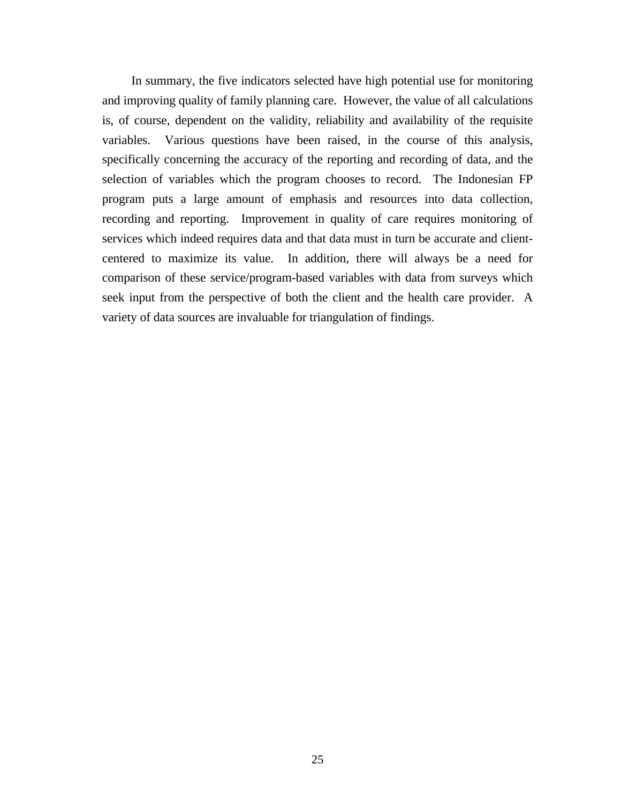In summary, the five indicators selected have high potential use for monitoring and improving quality of family planning care. However, the value of all calculations is, of course, dependent on the validity, reliability and availability of the requisite variables. Various questions have been raised, in the course of this analysis, specifically concerning the accuracy of the reporting and recording of data, and the selection of variables which the program chooses to record. The Indonesian FP program puts a large amount of emphasis and resources into data collection, recording and reporting. Improvement in quality of care requires monitoring of services which indeed requires data and that data must in turn be accurate and clientcentered to maximize its value. In addition, there will always be a need for comparison of these service/program-based variables with data from surveys which seek input from the perspective of both the client and the health care provider. A variety of data sources are invaluable for triangulation of findings.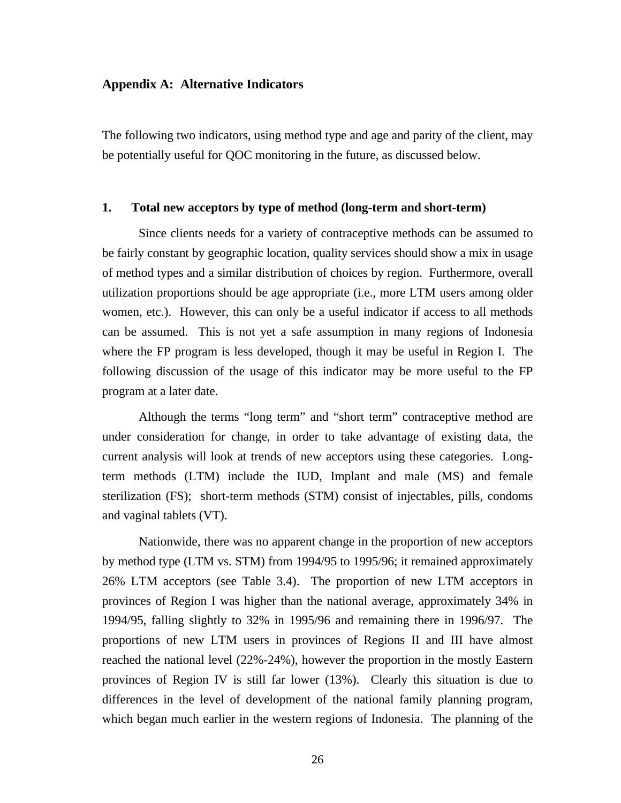#### **Appendix A: Alternative Indicators**

The following two indicators, using method type and age and parity of the client, may be potentially useful for QOC monitoring in the future, as discussed below.

#### **1. Total new acceptors by type of method (long-term and short-term)**

Since clients needs for a variety of contraceptive methods can be assumed to be fairly constant by geographic location, quality services should show a mix in usage of method types and a similar distribution of choices by region. Furthermore, overall utilization proportions should be age appropriate (i.e., more LTM users among older women, etc.). However, this can only be a useful indicator if access to all methods can be assumed. This is not yet a safe assumption in many regions of Indonesia where the FP program is less developed, though it may be useful in Region I. The following discussion of the usage of this indicator may be more useful to the FP program at a later date.

Although the terms "long term" and "short term" contraceptive method are under consideration for change, in order to take advantage of existing data, the current analysis will look at trends of new acceptors using these categories. Longterm methods (LTM) include the IUD, Implant and male (MS) and female sterilization (FS); short-term methods (STM) consist of injectables, pills, condoms and vaginal tablets (VT).

Nationwide, there was no apparent change in the proportion of new acceptors by method type (LTM vs. STM) from 1994/95 to 1995/96; it remained approximately 26% LTM acceptors (see Table 3.4). The proportion of new LTM acceptors in provinces of Region I was higher than the national average, approximately 34% in 1994/95, falling slightly to 32% in 1995/96 and remaining there in 1996/97. The proportions of new LTM users in provinces of Regions II and III have almost reached the national level (22%-24%), however the proportion in the mostly Eastern provinces of Region IV is still far lower (13%). Clearly this situation is due to differences in the level of development of the national family planning program, which began much earlier in the western regions of Indonesia. The planning of the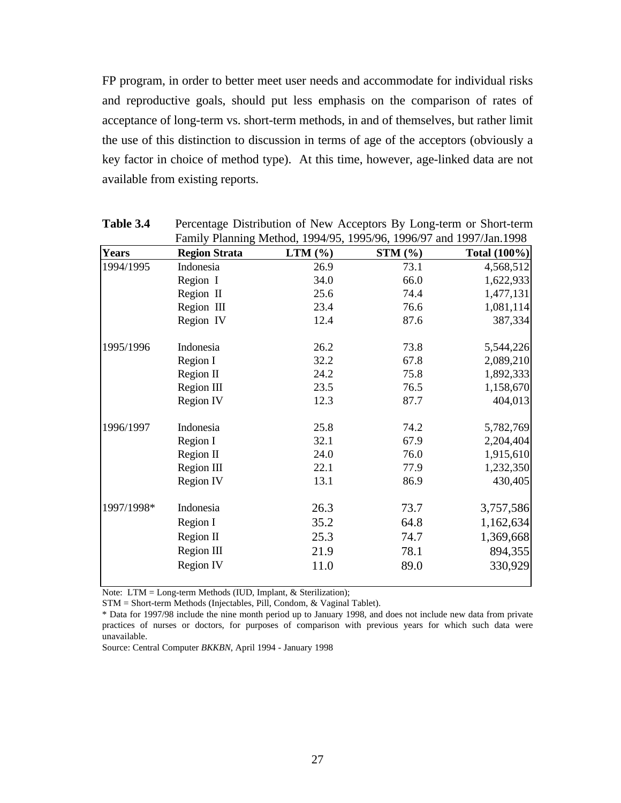FP program, in order to better meet user needs and accommodate for individual risks and reproductive goals, should put less emphasis on the comparison of rates of acceptance of long-term vs. short-term methods, in and of themselves, but rather limit the use of this distinction to discussion in terms of age of the acceptors (obviously a key factor in choice of method type). At this time, however, age-linked data are not available from existing reports.

|              |                      |           | Family Planning Method, 1994/95, 1995/96, 1996/97 and 1997/Jan.1998 |                     |
|--------------|----------------------|-----------|---------------------------------------------------------------------|---------------------|
| <b>Years</b> | <b>Region Strata</b> | $LTM$ (%) | STM (%)                                                             | <b>Total (100%)</b> |
| 1994/1995    | Indonesia            | 26.9      | 73.1                                                                | 4,568,512           |
|              | Region I             | 34.0      | 66.0                                                                | 1,622,933           |
|              | Region II            | 25.6      | 74.4                                                                | 1,477,131           |
|              | Region III           | 23.4      | 76.6                                                                | 1,081,114           |
|              | Region IV            | 12.4      | 87.6                                                                | 387,334             |
| 1995/1996    | Indonesia            | 26.2      | 73.8                                                                | 5,544,226           |
|              | Region I             | 32.2      | 67.8                                                                | 2,089,210           |
|              | Region II            | 24.2      | 75.8                                                                | 1,892,333           |
|              | Region III           | 23.5      | 76.5                                                                | 1,158,670           |
|              | Region IV            | 12.3      | 87.7                                                                | 404,013             |
| 1996/1997    | Indonesia            | 25.8      | 74.2                                                                | 5,782,769           |
|              | Region I             | 32.1      | 67.9                                                                | 2,204,404           |
|              | Region II            | 24.0      | 76.0                                                                | 1,915,610           |
|              | Region III           | 22.1      | 77.9                                                                | 1,232,350           |
|              | <b>Region IV</b>     | 13.1      | 86.9                                                                | 430,405             |
| 1997/1998*   | Indonesia            | 26.3      | 73.7                                                                | 3,757,586           |
|              | Region I             | 35.2      | 64.8                                                                | 1,162,634           |
|              | Region II            | 25.3      | 74.7                                                                | 1,369,668           |
|              | Region III           | 21.9      | 78.1                                                                | 894,355             |
|              | <b>Region IV</b>     | 11.0      | 89.0                                                                | 330,929             |

**Table 3.4** Percentage Distribution of New Acceptors By Long-term or Short-term

Note: LTM = Long-term Methods (IUD, Implant, & Sterilization);

STM = Short-term Methods (Injectables, Pill, Condom, & Vaginal Tablet).

\* Data for 1997/98 include the nine month period up to January 1998, and does not include new data from private practices of nurses or doctors, for purposes of comparison with previous years for which such data were unavailable.

Source: Central Computer *BKKBN*, April 1994 - January 1998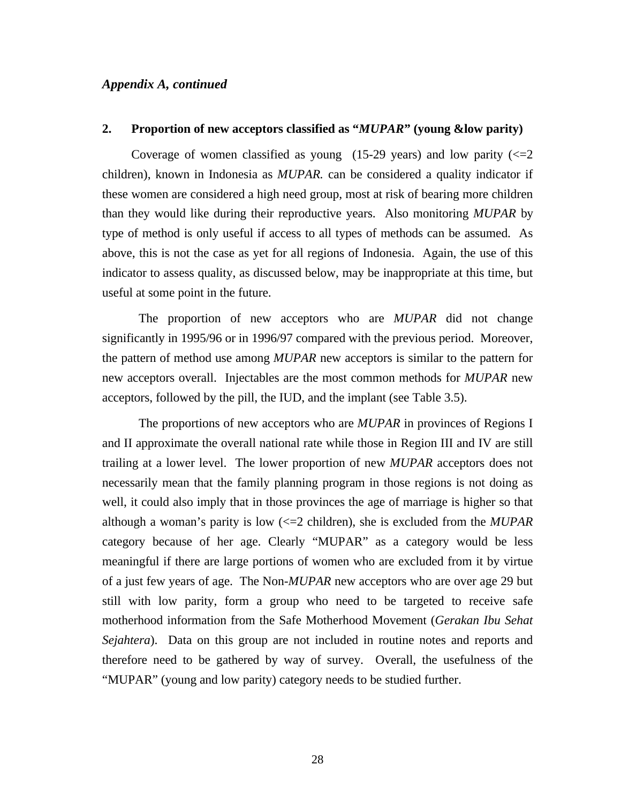#### *Appendix A, continued*

#### **2. Proportion of new acceptors classified as "***MUPAR***" (young &low parity)**

Coverage of women classified as young  $(15-29 \text{ years})$  and low parity  $(<=2$ children), known in Indonesia as *MUPAR.* can be considered a quality indicator if these women are considered a high need group, most at risk of bearing more children than they would like during their reproductive years. Also monitoring *MUPAR* by type of method is only useful if access to all types of methods can be assumed. As above, this is not the case as yet for all regions of Indonesia. Again, the use of this indicator to assess quality, as discussed below, may be inappropriate at this time, but useful at some point in the future.

The proportion of new acceptors who are *MUPAR* did not change significantly in 1995/96 or in 1996/97 compared with the previous period. Moreover, the pattern of method use among *MUPAR* new acceptors is similar to the pattern for new acceptors overall. Injectables are the most common methods for *MUPAR* new acceptors, followed by the pill, the IUD, and the implant (see Table 3.5).

The proportions of new acceptors who are *MUPAR* in provinces of Regions I and II approximate the overall national rate while those in Region III and IV are still trailing at a lower level. The lower proportion of new *MUPAR* acceptors does not necessarily mean that the family planning program in those regions is not doing as well, it could also imply that in those provinces the age of marriage is higher so that although a woman's parity is low (<=2 children), she is excluded from the *MUPAR* category because of her age. Clearly "MUPAR" as a category would be less meaningful if there are large portions of women who are excluded from it by virtue of a just few years of age. The Non-*MUPAR* new acceptors who are over age 29 but still with low parity, form a group who need to be targeted to receive safe motherhood information from the Safe Motherhood Movement (*Gerakan Ibu Sehat Sejahtera*). Data on this group are not included in routine notes and reports and therefore need to be gathered by way of survey. Overall, the usefulness of the "MUPAR" (young and low parity) category needs to be studied further.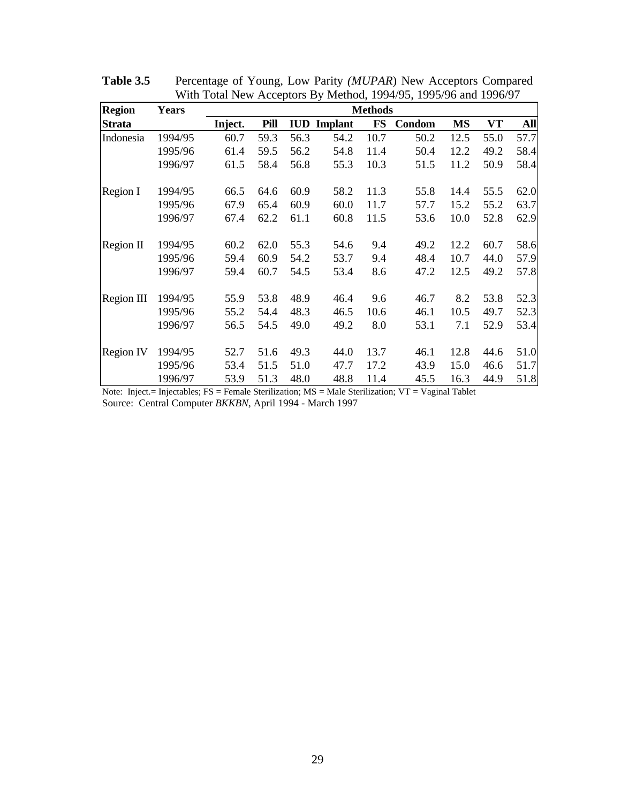| <b>Region</b>    | <b>Years</b> |         | <b>Methods</b> |            |                |           |               |           |      |            |  |  |
|------------------|--------------|---------|----------------|------------|----------------|-----------|---------------|-----------|------|------------|--|--|
| <b>Strata</b>    |              | Inject. | Pill           | <b>IUD</b> | <b>Implant</b> | <b>FS</b> | <b>Condom</b> | <b>MS</b> | VT   | <b>All</b> |  |  |
| Indonesia        | 1994/95      | 60.7    | 59.3           | 56.3       | 54.2           | 10.7      | 50.2          | 12.5      | 55.0 | 57.7       |  |  |
|                  | 1995/96      | 61.4    | 59.5           | 56.2       | 54.8           | 11.4      | 50.4          | 12.2      | 49.2 | 58.4       |  |  |
|                  | 1996/97      | 61.5    | 58.4           | 56.8       | 55.3           | 10.3      | 51.5          | 11.2      | 50.9 | 58.4       |  |  |
| Region I         | 1994/95      | 66.5    | 64.6           | 60.9       | 58.2           | 11.3      | 55.8          | 14.4      | 55.5 | 62.0       |  |  |
|                  | 1995/96      | 67.9    | 65.4           | 60.9       | 60.0           | 11.7      | 57.7          | 15.2      | 55.2 | 63.7       |  |  |
|                  | 1996/97      | 67.4    | 62.2           | 61.1       | 60.8           | 11.5      | 53.6          | 10.0      | 52.8 | 62.9       |  |  |
| Region II        | 1994/95      | 60.2    | 62.0           | 55.3       | 54.6           | 9.4       | 49.2          | 12.2      | 60.7 | 58.6       |  |  |
|                  | 1995/96      | 59.4    | 60.9           | 54.2       | 53.7           | 9.4       | 48.4          | 10.7      | 44.0 | 57.9       |  |  |
|                  | 1996/97      | 59.4    | 60.7           | 54.5       | 53.4           | 8.6       | 47.2          | 12.5      | 49.2 | 57.8       |  |  |
| Region III       | 1994/95      | 55.9    | 53.8           | 48.9       | 46.4           | 9.6       | 46.7          | 8.2       | 53.8 | 52.3       |  |  |
|                  | 1995/96      | 55.2    | 54.4           | 48.3       | 46.5           | 10.6      | 46.1          | 10.5      | 49.7 | 52.3       |  |  |
|                  | 1996/97      | 56.5    | 54.5           | 49.0       | 49.2           | 8.0       | 53.1          | 7.1       | 52.9 | 53.4       |  |  |
| <b>Region IV</b> | 1994/95      | 52.7    | 51.6           | 49.3       | 44.0           | 13.7      | 46.1          | 12.8      | 44.6 | 51.0       |  |  |
|                  | 1995/96      | 53.4    | 51.5           | 51.0       | 47.7           | 17.2      | 43.9          | 15.0      | 46.6 | 51.7       |  |  |
|                  | 1996/97      | 53.9    | 51.3           | 48.0       | 48.8           | 11.4      | 45.5          | 16.3      | 44.9 | 51.8       |  |  |

**Table 3.5** Percentage of Young, Low Parity *(MUPAR*) New Acceptors Compared With Total New Acceptors By Method, 1994/95, 1995/96 and 1996/97

Note: Inject.= Injectables; FS = Female Sterilization; MS = Male Sterilization; VT = Vaginal Tablet Source: Central Computer *BKKBN*, April 1994 - March 1997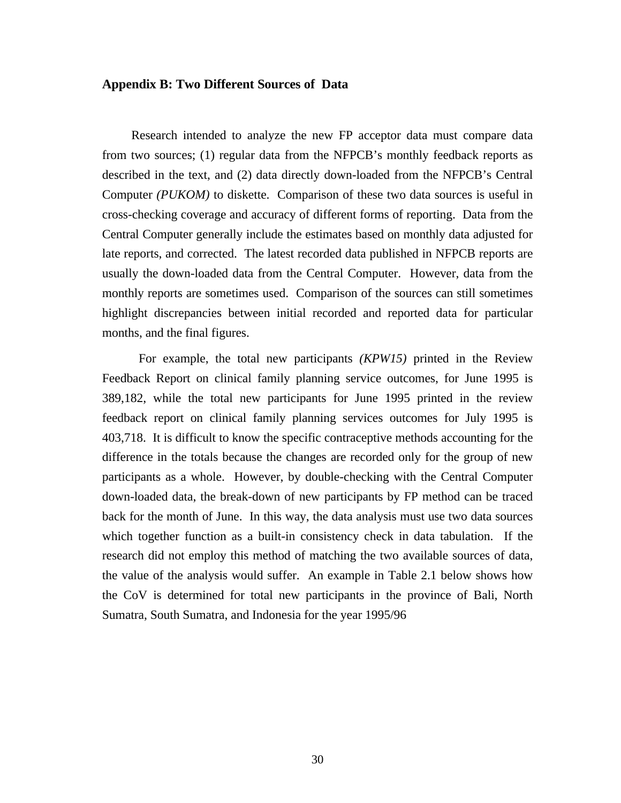#### **Appendix B: Two Different Sources of Data**

Research intended to analyze the new FP acceptor data must compare data from two sources; (1) regular data from the NFPCB's monthly feedback reports as described in the text, and (2) data directly down-loaded from the NFPCB's Central Computer *(PUKOM)* to diskette. Comparison of these two data sources is useful in cross-checking coverage and accuracy of different forms of reporting. Data from the Central Computer generally include the estimates based on monthly data adjusted for late reports, and corrected. The latest recorded data published in NFPCB reports are usually the down-loaded data from the Central Computer. However, data from the monthly reports are sometimes used. Comparison of the sources can still sometimes highlight discrepancies between initial recorded and reported data for particular months, and the final figures.

For example, the total new participants *(KPW15)* printed in the Review Feedback Report on clinical family planning service outcomes, for June 1995 is 389,182, while the total new participants for June 1995 printed in the review feedback report on clinical family planning services outcomes for July 1995 is 403,718. It is difficult to know the specific contraceptive methods accounting for the difference in the totals because the changes are recorded only for the group of new participants as a whole. However, by double-checking with the Central Computer down-loaded data, the break-down of new participants by FP method can be traced back for the month of June. In this way, the data analysis must use two data sources which together function as a built-in consistency check in data tabulation. If the research did not employ this method of matching the two available sources of data, the value of the analysis would suffer. An example in Table 2.1 below shows how the CoV is determined for total new participants in the province of Bali, North Sumatra, South Sumatra, and Indonesia for the year 1995/96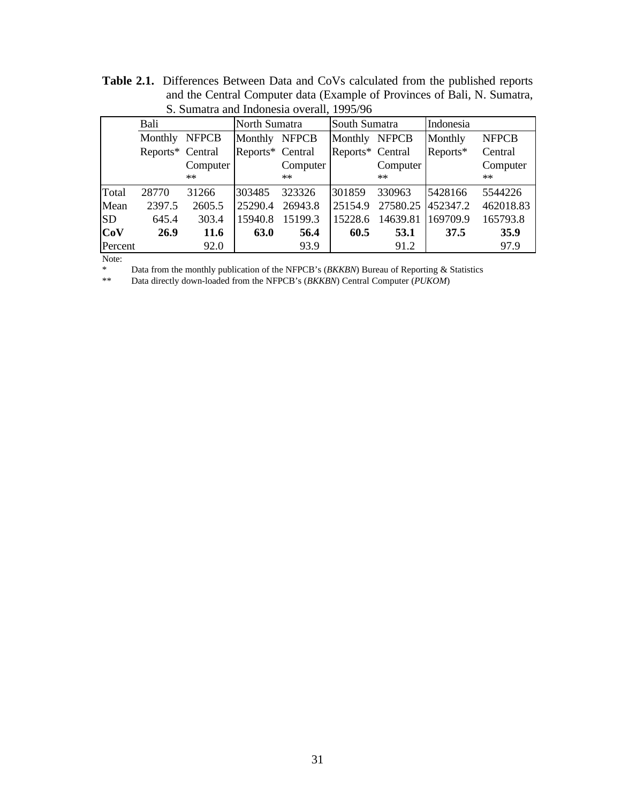|           | D. Duniana and muonesia Overan, 1999/90 |             |                  |          |                  |          |           |              |  |  |
|-----------|-----------------------------------------|-------------|------------------|----------|------------------|----------|-----------|--------------|--|--|
|           | Bali                                    |             | North Sumatra    |          | South Sumatra    |          | Indonesia |              |  |  |
|           | Monthly NFPCB                           |             | Monthly NFPCB    |          | Monthly NFPCB    |          | Monthly   | <b>NFPCB</b> |  |  |
|           | Reports* Central                        |             | Reports* Central |          | Reports* Central |          | Reports*  | Central      |  |  |
|           |                                         | Computer    |                  | Computer |                  | Computer |           | Computer     |  |  |
|           |                                         | $**$        |                  | $**$     |                  | $**$     |           | **           |  |  |
| Total     | 28770                                   | 31266       | 303485           | 323326   | 301859           | 330963   | 5428166   | 5544226      |  |  |
| Mean      | 2397.5                                  | 2605.5      | 25290.4          | 26943.8  | 25154.9          | 27580.25 | 452347.2  | 462018.83    |  |  |
| <b>SD</b> | 645.4                                   | 303.4       | 15940.8          | 15199.3  | 15228.6          | 14639.81 | 169709.9  | 165793.8     |  |  |
| Cov       | 26.9                                    | <b>11.6</b> | 63.0             | 56.4     | 60.5             | 53.1     | 37.5      | 35.9         |  |  |
| Percent   |                                         | 92.0        |                  | 93.9     |                  | 91.2     |           | 97.9         |  |  |

**Table 2.1.** Differences Between Data and CoVs calculated from the published reports and the Central Computer data (Example of Provinces of Bali, N. Sumatra, S. Sumatra and Indonesia overall, 1995/96

Note:

\* Data from the monthly publication of the NFPCB's (*BKKBN*) Bureau of Reporting & Statistics

\*\* Data directly down-loaded from the NFPCB's (*BKKBN*) Central Computer (*PUKOM*)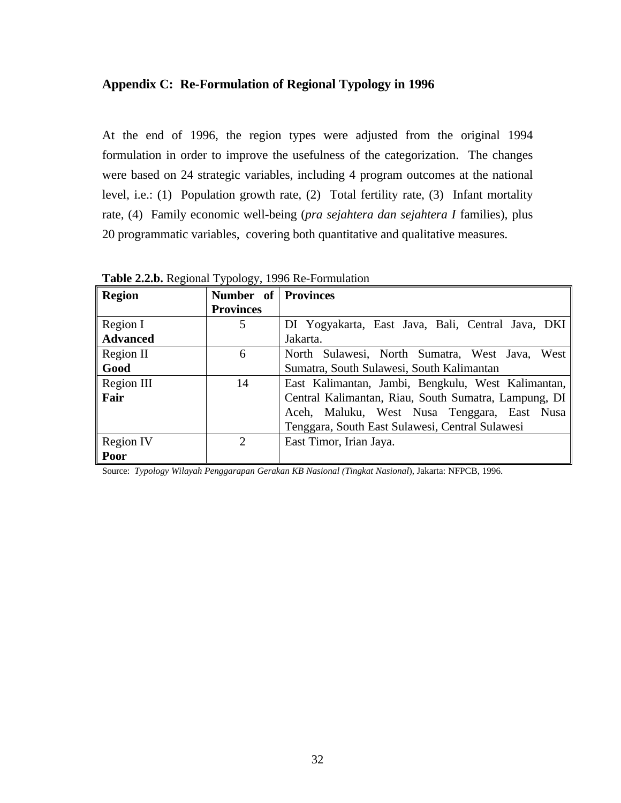#### **Appendix C: Re-Formulation of Regional Typology in 1996**

At the end of 1996, the region types were adjusted from the original 1994 formulation in order to improve the usefulness of the categorization. The changes were based on 24 strategic variables, including 4 program outcomes at the national level, i.e.: (1) Population growth rate, (2) Total fertility rate, (3) Infant mortality rate, (4) Family economic well-being (*pra sejahtera dan sejahtera I* families), plus 20 programmatic variables, covering both quantitative and qualitative measures.

**Region Number of Provinces Provinces** Region I **Advanced** 5 DI Yogyakarta, East Java, Bali, Central Java, DKI Jakarta. Region II **Good** 6 North Sulawesi, North Sumatra, West Java, West Sumatra, South Sulawesi, South Kalimantan Region III **Fair** 14 East Kalimantan, Jambi, Bengkulu, West Kalimantan, Central Kalimantan, Riau, South Sumatra, Lampung, DI Aceh, Maluku, West Nusa Tenggara, East Nusa Tenggara, South East Sulawesi, Central Sulawesi Region IV **Poor** 2 East Timor, Irian Jaya.

**Table 2.2.b.** Regional Typology, 1996 Re-Formulation

Source: *Typology Wilayah Penggarapan Gerakan KB Nasional (Tingkat Nasional*), Jakarta: NFPCB, 1996.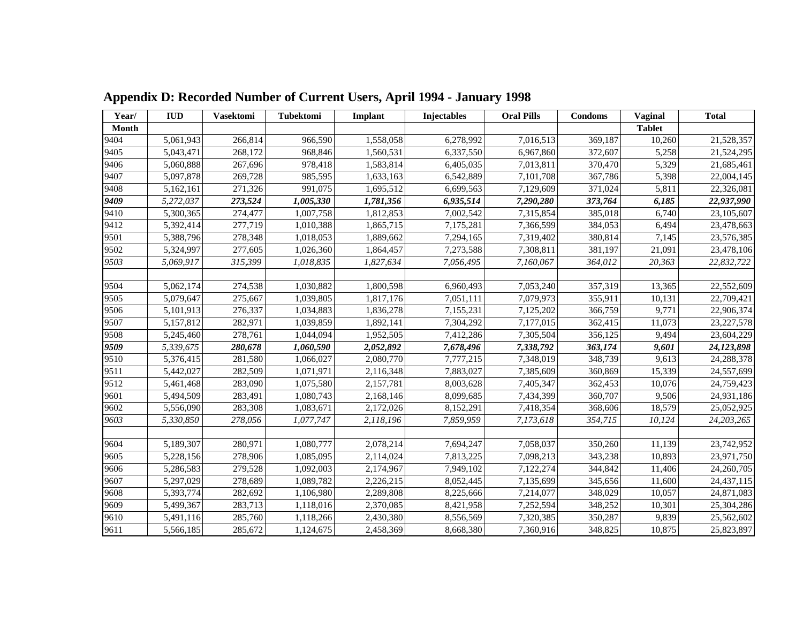| Year/        | <b>IUD</b> | <b>Vasektomi</b> | Tubektomi | <b>Implant</b> | Injectables | <b>Oral Pills</b> | <b>Condoms</b> | Vaginal       | <b>Total</b> |
|--------------|------------|------------------|-----------|----------------|-------------|-------------------|----------------|---------------|--------------|
| <b>Month</b> |            |                  |           |                |             |                   |                | <b>Tablet</b> |              |
| 9404         | 5,061,943  | 266,814          | 966,590   | 1,558,058      | 6,278,992   | 7,016,513         | 369,187        | 10,260        | 21,528,357   |
| 9405         | 5,043,471  | 268,172          | 968,846   | 1,560,531      | 6,337,550   | 6,967,860         | 372,607        | 5,258         | 21,524,295   |
| 9406         | 5,060,888  | 267,696          | 978,418   | 1,583,814      | 6,405,035   | 7,013,811         | 370,470        | 5,329         | 21,685,461   |
| 9407         | 5,097,878  | 269,728          | 985,595   | 1,633,163      | 6,542,889   | 7,101,708         | 367,786        | 5,398         | 22,004,145   |
| 9408         | 5,162,161  | 271,326          | 991,075   | 1,695,512      | 6,699,563   | 7,129,609         | 371,024        | 5,811         | 22,326,081   |
| 9409         | 5,272,037  | 273,524          | 1,005,330 | 1,781,356      | 6,935,514   | 7,290,280         | 373,764        | 6,185         | 22,937,990   |
| 9410         | 5,300,365  | 274,477          | 1,007,758 | 1,812,853      | 7,002,542   | 7,315,854         | 385,018        | 6,740         | 23,105,607   |
| 9412         | 5,392,414  | 277,719          | 1,010,388 | 1,865,715      | 7,175,281   | 7,366,599         | 384,053        | 6,494         | 23,478,663   |
| 9501         | 5,388,796  | 278,348          | 1,018,053 | 1,889,662      | 7,294,165   | 7,319,402         | 380,814        | 7,145         | 23,576,385   |
| 9502         | 5,324,997  | 277,605          | 1,026,360 | 1,864,457      | 7,273,588   | 7,308,811         | 381,197        | 21,091        | 23,478,106   |
| 9503         | 5,069,917  | 315,399          | 1,018,835 | 1,827,634      | 7,056,495   | 7,160,067         | 364,012        | 20,363        | 22,832,722   |
|              |            |                  |           |                |             |                   |                |               |              |
| 9504         | 5,062,174  | 274,538          | 1,030,882 | 1,800,598      | 6,960,493   | 7,053,240         | 357,319        | 13,365        | 22,552,609   |
| 9505         | 5,079,647  | 275,667          | 1,039,805 | 1,817,176      | 7,051,111   | 7,079,973         | 355,911        | 10,131        | 22,709,421   |
| 9506         | 5,101,913  | 276,337          | 1,034,883 | 1,836,278      | 7,155,231   | 7,125,202         | 366,759        | 9,771         | 22,906,374   |
| 9507         | 5,157,812  | 282,971          | 1,039,859 | 1,892,141      | 7,304,292   | 7,177,015         | 362,415        | 11,073        | 23, 227, 578 |
| 9508         | 5,245,460  | 278,761          | 1,044,094 | 1,952,505      | 7,412,286   | 7,305,504         | 356,125        | 9,494         | 23,604,229   |
| 9509         | 5,339,675  | 280,678          | 1,060,590 | 2,052,892      | 7,678,496   | 7,338,792         | 363,174        | 9,601         | 24,123,898   |
| 9510         | 5,376,415  | 281,580          | 1,066,027 | 2,080,770      | 7,777,215   | 7,348,019         | 348,739        | 9,613         | 24,288,378   |
| 9511         | 5,442,027  | 282,509          | 1,071,971 | 2,116,348      | 7,883,027   | 7,385,609         | 360,869        | 15,339        | 24,557,699   |
| 9512         | 5,461,468  | 283,090          | 1,075,580 | 2,157,781      | 8,003,628   | 7,405,347         | 362,453        | 10,076        | 24,759,423   |
| 9601         | 5,494,509  | 283,491          | 1,080,743 | 2,168,146      | 8,099,685   | 7,434,399         | 360,707        | 9,506         | 24,931,186   |
| 9602         | 5,556,090  | 283,308          | 1,083,671 | 2,172,026      | 8,152,291   | 7,418,354         | 368,606        | 18,579        | 25,052,925   |
| 9603         | 5,330,850  | 278,056          | 1,077,747 | 2,118,196      | 7,859,959   | 7,173,618         | 354,715        | 10,124        | 24,203,265   |
|              |            |                  |           |                |             |                   |                |               |              |
| 9604         | 5,189,307  | 280,971          | 1,080,777 | 2,078,214      | 7,694,247   | 7,058,037         | 350,260        | 11,139        | 23,742,952   |
| 9605         | 5,228,156  | 278,906          | 1,085,095 | 2,114,024      | 7,813,225   | 7,098,213         | 343,238        | 10,893        | 23,971,750   |
| 9606         | 5,286,583  | 279,528          | 1,092,003 | 2,174,967      | 7,949,102   | 7,122,274         | 344,842        | 11,406        | 24,260,705   |
| 9607         | 5,297,029  | 278,689          | 1,089,782 | 2,226,215      | 8,052,445   | 7,135,699         | 345,656        | 11,600        | 24,437,115   |
| 9608         | 5,393,774  | 282,692          | 1,106,980 | 2,289,808      | 8,225,666   | 7,214,077         | 348,029        | 10,057        | 24,871,083   |
| 9609         | 5,499,367  | 283,713          | 1,118,016 | 2,370,085      | 8,421,958   | 7,252,594         | 348,252        | 10,301        | 25,304,286   |
| 9610         | 5,491,116  | 285,760          | 1,118,266 | 2,430,380      | 8,556,569   | 7,320,385         | 350,287        | 9,839         | 25,562,602   |
| 9611         | 5,566,185  | 285,672          | 1,124,675 | 2,458,369      | 8,668,380   | 7,360,916         | 348,825        | 10,875        | 25,823,897   |

 **Appendix D: Recorded Number of Current Users, April 1994 - January 1998**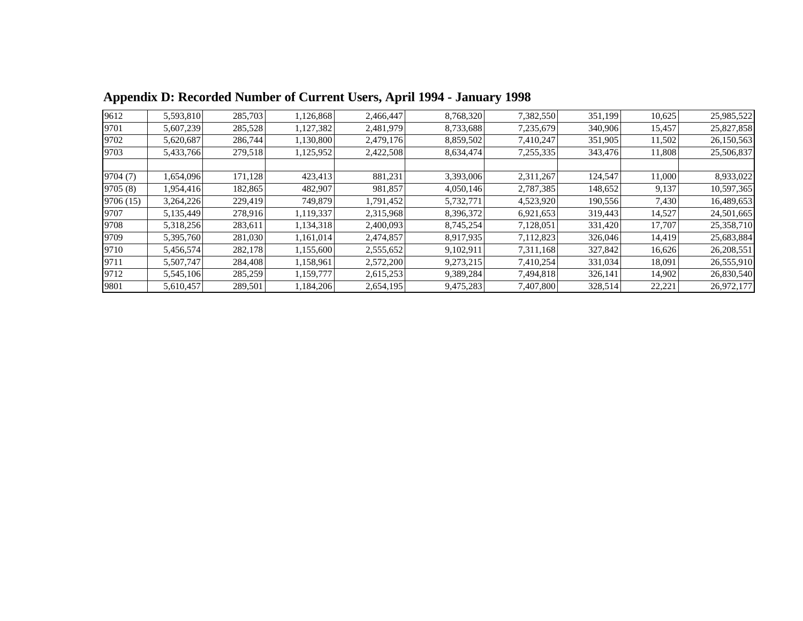| 9612      | 5,593,810 | 285,703 | 1,126,868 | 2,466,447 | 8,768,320 | 7,382,550 | 351,199 | 10,625 | 25,985,522 |
|-----------|-----------|---------|-----------|-----------|-----------|-----------|---------|--------|------------|
| 9701      | 5,607,239 | 285,528 | 1,127,382 | 2,481,979 | 8,733,688 | 7,235,679 | 340,906 | 15,457 | 25,827,858 |
| 9702      | 5,620,687 | 286,744 | 1,130,800 | 2,479,176 | 8,859,502 | 7,410,247 | 351,905 | 11,502 | 26,150,563 |
| 9703      | 5,433,766 | 279,518 | 1,125,952 | 2,422,508 | 8,634,474 | 7,255,335 | 343,476 | 11,808 | 25,506,837 |
|           |           |         |           |           |           |           |         |        |            |
| 9704(7)   | 1,654,096 | 171,128 | 423,413   | 881,231   | 3,393,006 | 2,311,267 | 124,547 | 11,000 | 8,933,022  |
| 9705(8)   | 1,954,416 | 182,865 | 482,907   | 981,857   | 4,050,146 | 2,787,385 | 148,652 | 9,137  | 10,597,365 |
| 9706 (15) | 3,264,226 | 229,419 | 749,879   | 1,791,452 | 5,732,771 | 4,523,920 | 190,556 | 7,430  | 16,489,653 |
| 9707      | 5,135,449 | 278,916 | 1,119,337 | 2,315,968 | 8,396,372 | 6,921,653 | 319,443 | 14,527 | 24,501,665 |
| 9708      | 5,318,256 | 283,611 | 1,134,318 | 2,400,093 | 8,745,254 | 7,128,051 | 331,420 | 17,707 | 25,358,710 |
| 9709      | 5,395,760 | 281,030 | 1,161,014 | 2,474,857 | 8,917,935 | 7,112,823 | 326,046 | 14,419 | 25,683,884 |
| 9710      | 5,456,574 | 282,178 | 1,155,600 | 2,555,652 | 9,102,911 | 7,311,168 | 327,842 | 16,626 | 26,208,551 |
| 9711      | 5,507,747 | 284,408 | 1,158,961 | 2,572,200 | 9,273,215 | 7,410,254 | 331,034 | 18.091 | 26,555,910 |
| 9712      | 5,545,106 | 285,259 | 1,159,777 | 2,615,253 | 9,389,284 | 7,494,818 | 326,141 | 14,902 | 26,830,540 |
| 9801      | 5,610,457 | 289,501 | 1,184,206 | 2,654,195 | 9,475,283 | 7,407,800 | 328,514 | 22,221 | 26,972,177 |

 **Appendix D: Recorded Number of Current Users, April 1994 - January 1998**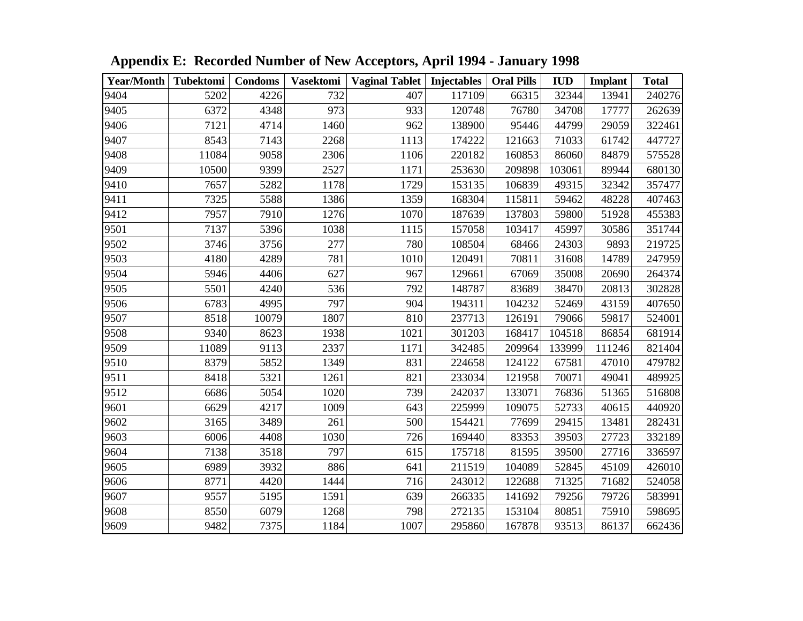| Year/Month   Tubektomi |       | <b>Condoms</b> | <b>Vasektomi</b> | Vaginal Tablet   Injectables |        | <b>Oral Pills</b> | <b>IUD</b> | <b>Implant</b> | <b>Total</b> |
|------------------------|-------|----------------|------------------|------------------------------|--------|-------------------|------------|----------------|--------------|
| 9404                   | 5202  | 4226           | 732              | 407                          | 117109 | 66315             | 32344      | 13941          | 240276       |
| 9405                   | 6372  | 4348           | 973              | 933                          | 120748 | 76780             | 34708      | 17777          | 262639       |
| 9406                   | 7121  | 4714           | 1460             | 962                          | 138900 | 95446             | 44799      | 29059          | 322461       |
| 9407                   | 8543  | 7143           | 2268             | 1113                         | 174222 | 121663            | 71033      | 61742          | 447727       |
| 9408                   | 11084 | 9058           | 2306             | 1106                         | 220182 | 160853            | 86060      | 84879          | 575528       |
| 9409                   | 10500 | 9399           | 2527             | 1171                         | 253630 | 209898            | 103061     | 89944          | 680130       |
| 9410                   | 7657  | 5282           | 1178             | 1729                         | 153135 | 106839            | 49315      | 32342          | 357477       |
| 9411                   | 7325  | 5588           | 1386             | 1359                         | 168304 | 115811            | 59462      | 48228          | 407463       |
| 9412                   | 7957  | 7910           | 1276             | 1070                         | 187639 | 137803            | 59800      | 51928          | 455383       |
| 9501                   | 7137  | 5396           | 1038             | 1115                         | 157058 | 103417            | 45997      | 30586          | 351744       |
| 9502                   | 3746  | 3756           | 277              | 780                          | 108504 | 68466             | 24303      | 9893           | 219725       |
| 9503                   | 4180  | 4289           | 781              | 1010                         | 120491 | 70811             | 31608      | 14789          | 247959       |
| 9504                   | 5946  | 4406           | 627              | 967                          | 129661 | 67069             | 35008      | 20690          | 264374       |
| 9505                   | 5501  | 4240           | 536              | 792                          | 148787 | 83689             | 38470      | 20813          | 302828       |
| 9506                   | 6783  | 4995           | 797              | 904                          | 194311 | 104232            | 52469      | 43159          | 407650       |
| 9507                   | 8518  | 10079          | 1807             | 810                          | 237713 | 126191            | 79066      | 59817          | 524001       |
| 9508                   | 9340  | 8623           | 1938             | 1021                         | 301203 | 168417            | 104518     | 86854          | 681914       |
| 9509                   | 11089 | 9113           | 2337             | 1171                         | 342485 | 209964            | 133999     | 111246         | 821404       |
| 9510                   | 8379  | 5852           | 1349             | 831                          | 224658 | 124122            | 67581      | 47010          | 479782       |
| 9511                   | 8418  | 5321           | 1261             | 821                          | 233034 | 121958            | 70071      | 49041          | 489925       |
| 9512                   | 6686  | 5054           | 1020             | 739                          | 242037 | 133071            | 76836      | 51365          | 516808       |
| 9601                   | 6629  | 4217           | 1009             | 643                          | 225999 | 109075            | 52733      | 40615          | 440920       |
| 9602                   | 3165  | 3489           | 261              | 500                          | 154421 | 77699             | 29415      | 13481          | 282431       |
| 9603                   | 6006  | 4408           | 1030             | 726                          | 169440 | 83353             | 39503      | 27723          | 332189       |
| 9604                   | 7138  | 3518           | 797              | 615                          | 175718 | 81595             | 39500      | 27716          | 336597       |
| 9605                   | 6989  | 3932           | 886              | 641                          | 211519 | 104089            | 52845      | 45109          | 426010       |
| 9606                   | 8771  | 4420           | 1444             | 716                          | 243012 | 122688            | 71325      | 71682          | 524058       |
| 9607                   | 9557  | 5195           | 1591             | 639                          | 266335 | 141692            | 79256      | 79726          | 583991       |
| 9608                   | 8550  | 6079           | 1268             | 798                          | 272135 | 153104            | 80851      | 75910          | 598695       |
| 9609                   | 9482  | 7375           | 1184             | 1007                         | 295860 | 167878            | 93513      | 86137          | 662436       |

 **Appendix E: Recorded Number of New Acceptors, April 1994 - January 1998**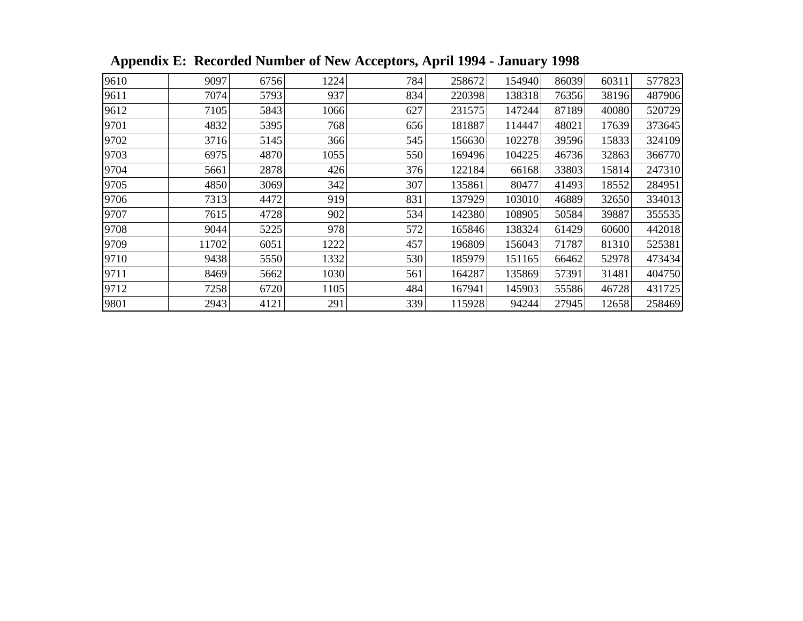| 9610 | 9097  | 6756 | 1224 | 784 | 258672 | 154940 | 86039 | 60311 | 577823 |
|------|-------|------|------|-----|--------|--------|-------|-------|--------|
| 9611 | 7074  | 5793 | 937  | 834 | 220398 | 138318 | 76356 | 38196 | 487906 |
| 9612 | 7105  | 5843 | 1066 | 627 | 231575 | 147244 | 87189 | 40080 | 520729 |
| 9701 | 4832  | 5395 | 768  | 656 | 181887 | 114447 | 48021 | 17639 | 373645 |
| 9702 | 3716  | 5145 | 366  | 545 | 156630 | 102278 | 39596 | 15833 | 324109 |
| 9703 | 6975  | 4870 | 1055 | 550 | 169496 | 104225 | 46736 | 32863 | 366770 |
| 9704 | 5661  | 2878 | 426  | 376 | 122184 | 66168  | 33803 | 15814 | 247310 |
| 9705 | 4850  | 3069 | 342  | 307 | 135861 | 80477  | 41493 | 18552 | 284951 |
| 9706 | 7313  | 4472 | 919  | 831 | 137929 | 103010 | 46889 | 32650 | 334013 |
| 9707 | 7615  | 4728 | 902  | 534 | 142380 | 108905 | 50584 | 39887 | 355535 |
| 9708 | 9044  | 5225 | 978  | 572 | 165846 | 138324 | 61429 | 60600 | 442018 |
| 9709 | 11702 | 6051 | 1222 | 457 | 196809 | 156043 | 71787 | 81310 | 525381 |
| 9710 | 9438  | 5550 | 1332 | 530 | 185979 | 151165 | 66462 | 52978 | 473434 |
| 9711 | 8469  | 5662 | 1030 | 561 | 164287 | 135869 | 57391 | 31481 | 404750 |
| 9712 | 7258  | 6720 | 1105 | 484 | 167941 | 145903 | 55586 | 46728 | 431725 |
| 9801 | 2943  | 4121 | 291  | 339 | 115928 | 94244  | 27945 | 12658 | 258469 |

 **Appendix E: Recorded Number of New Acceptors, April 1994 - January 1998**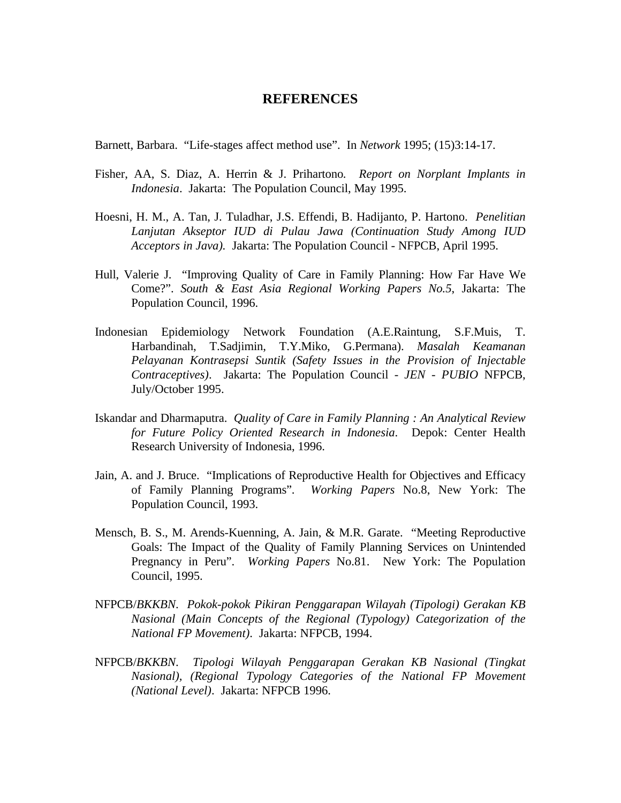#### **REFERENCES**

Barnett, Barbara. "Life-stages affect method use". In *Network* 1995; (15)3:14-17.

- Fisher, AA, S. Diaz, A. Herrin & J. Prihartono*. Report on Norplant Implants in Indonesia*. Jakarta: The Population Council, May 1995.
- Hoesni, H. M., A. Tan, J. Tuladhar, J.S. Effendi, B. Hadijanto, P. Hartono. *Penelitian Lanjutan Akseptor IUD di Pulau Jawa (Continuation Study Among IUD Acceptors in Java).* Jakarta: The Population Council - NFPCB, April 1995.
- Hull, Valerie J. "Improving Quality of Care in Family Planning: How Far Have We Come?". *South & East Asia Regional Working Papers No.5*, Jakarta: The Population Council, 1996.
- Indonesian Epidemiology Network Foundation (A.E.Raintung, S.F.Muis, T. Harbandinah, T.Sadjimin, T.Y.Miko, G.Permana). *Masalah Keamanan Pelayanan Kontrasepsi Suntik (Safety Issues in the Provision of Injectable Contraceptives)*. Jakarta: The Population Council - *JEN - PUBIO* NFPCB, July/October 1995.
- Iskandar and Dharmaputra. *Quality of Care in Family Planning : An Analytical Review for Future Policy Oriented Research in Indonesia*. Depok: Center Health Research University of Indonesia, 1996.
- Jain, A. and J. Bruce. "Implications of Reproductive Health for Objectives and Efficacy of Family Planning Programs". *Working Papers* No.8, New York: The Population Council, 1993.
- Mensch, B. S., M. Arends-Kuenning, A. Jain, & M.R. Garate. "Meeting Reproductive Goals: The Impact of the Quality of Family Planning Services on Unintended Pregnancy in Peru". *Working Papers* No.81. New York: The Population Council, 1995.
- NFPCB/*BKKBN*. *Pokok-pokok Pikiran Penggarapan Wilayah (Tipologi) Gerakan KB Nasional (Main Concepts of the Regional (Typology) Categorization of the National FP Movement)*. Jakarta: NFPCB, 1994.
- NFPCB/*BKKBN*. *Tipologi Wilayah Penggarapan Gerakan KB Nasional (Tingkat Nasional), (Regional Typology Categories of the National FP Movement (National Level)*. Jakarta: NFPCB 1996.